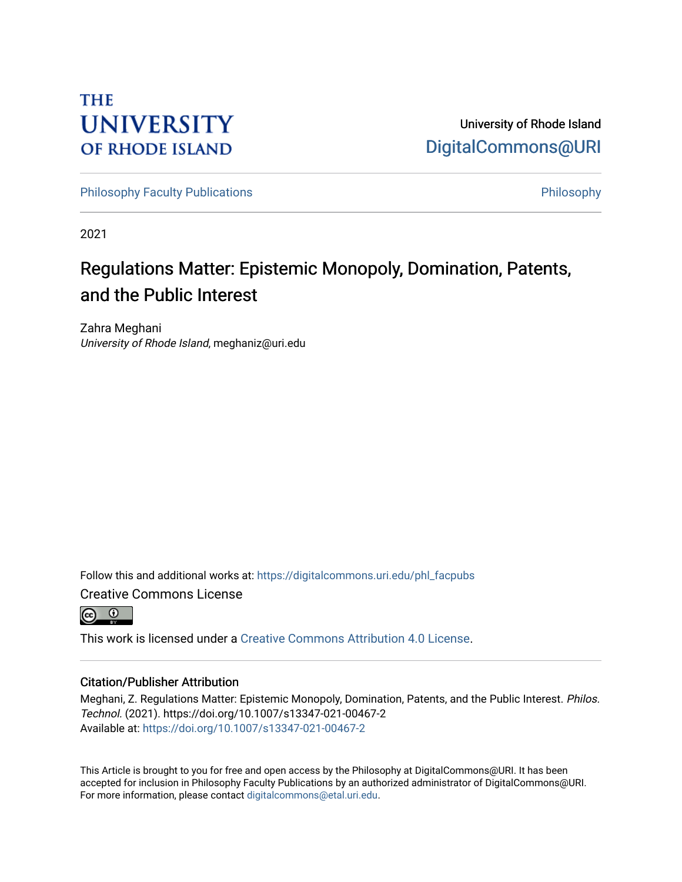## **THE UNIVERSITY OF RHODE ISLAND**

University of Rhode Island [DigitalCommons@URI](https://digitalcommons.uri.edu/) 

[Philosophy Faculty Publications](https://digitalcommons.uri.edu/phl_facpubs) **Philosophy** Philosophy

2021

# Regulations Matter: Epistemic Monopoly, Domination, Patents, and the Public Interest

Zahra Meghani University of Rhode Island, meghaniz@uri.edu

Follow this and additional works at: [https://digitalcommons.uri.edu/phl\\_facpubs](https://digitalcommons.uri.edu/phl_facpubs?utm_source=digitalcommons.uri.edu%2Fphl_facpubs%2F15&utm_medium=PDF&utm_campaign=PDFCoverPages)  Creative Commons License



This work is licensed under a [Creative Commons Attribution 4.0 License](https://creativecommons.org/licenses/by/4.0/).

## Citation/Publisher Attribution

Meghani, Z. Regulations Matter: Epistemic Monopoly, Domination, Patents, and the Public Interest. Philos. Technol. (2021). https://doi.org/10.1007/s13347-021-00467-2 Available at:<https://doi.org/10.1007/s13347-021-00467-2>

This Article is brought to you for free and open access by the Philosophy at DigitalCommons@URI. It has been accepted for inclusion in Philosophy Faculty Publications by an authorized administrator of DigitalCommons@URI. For more information, please contact [digitalcommons@etal.uri.edu](mailto:digitalcommons@etal.uri.edu).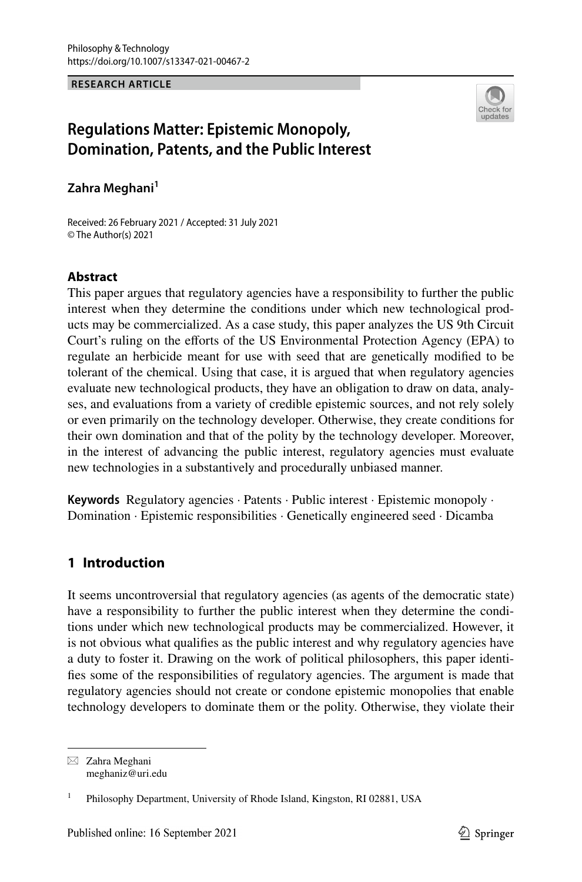#### **RESEARCH ARTICLE**



## **Regulations Matter: Epistemic Monopoly, Domination, Patents, and the Public Interest**

**Zahra Meghani**<sup>1</sup>

Received: 26 February 2021 / Accepted: 31 July 2021 © The Author(s) 2021

## **Abstract**

This paper argues that regulatory agencies have a responsibility to further the public interest when they determine the conditions under which new technological products may be commercialized. As a case study, this paper analyzes the US 9th Circuit Court's ruling on the eforts of the US Environmental Protection Agency (EPA) to regulate an herbicide meant for use with seed that are genetically modifed to be tolerant of the chemical. Using that case, it is argued that when regulatory agencies evaluate new technological products, they have an obligation to draw on data, analyses, and evaluations from a variety of credible epistemic sources, and not rely solely or even primarily on the technology developer. Otherwise, they create conditions for their own domination and that of the polity by the technology developer. Moreover, in the interest of advancing the public interest, regulatory agencies must evaluate new technologies in a substantively and procedurally unbiased manner.

**Keywords** Regulatory agencies · Patents · Public interest · Epistemic monopoly · Domination · Epistemic responsibilities · Genetically engineered seed · Dicamba

## **1 Introduction**

It seems uncontroversial that regulatory agencies (as agents of the democratic state) have a responsibility to further the public interest when they determine the conditions under which new technological products may be commercialized. However, it is not obvious what qualifes as the public interest and why regulatory agencies have a duty to foster it. Drawing on the work of political philosophers, this paper identifes some of the responsibilities of regulatory agencies. The argument is made that regulatory agencies should not create or condone epistemic monopolies that enable technology developers to dominate them or the polity. Otherwise, they violate their

 $\boxtimes$  Zahra Meghani meghaniz@uri.edu

<sup>1</sup> Philosophy Department, University of Rhode Island, Kingston, RI 02881, USA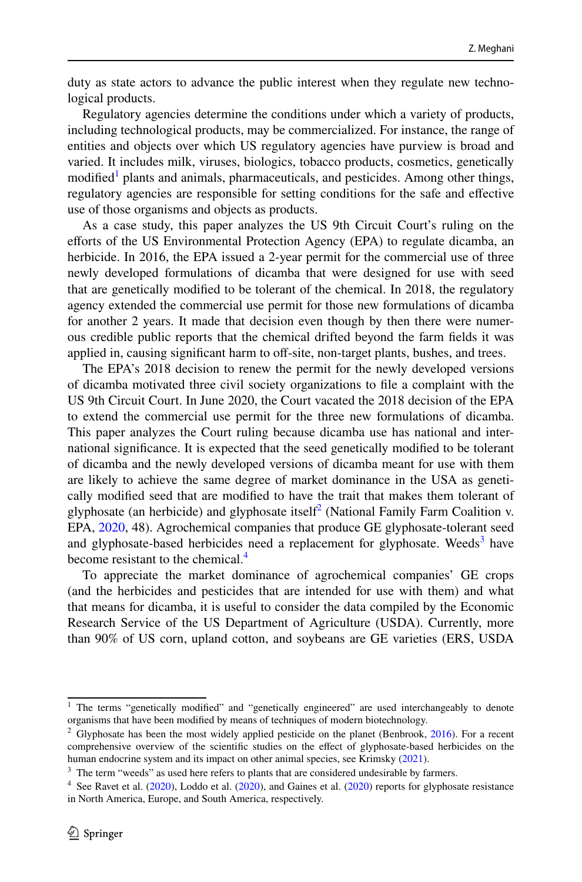duty as state actors to advance the public interest when they regulate new technological products.

Regulatory agencies determine the conditions under which a variety of products, including technological products, may be commercialized. For instance, the range of entities and objects over which US regulatory agencies have purview is broad and varied. It includes milk, viruses, biologics, tobacco products, cosmetics, genetically modified<sup>[1](#page-2-0)</sup> plants and animals, pharmaceuticals, and pesticides. Among other things, regulatory agencies are responsible for setting conditions for the safe and efective use of those organisms and objects as products.

As a case study, this paper analyzes the US 9th Circuit Court's ruling on the efforts of the US Environmental Protection Agency (EPA) to regulate dicamba, an herbicide. In 2016, the EPA issued a 2-year permit for the commercial use of three newly developed formulations of dicamba that were designed for use with seed that are genetically modifed to be tolerant of the chemical. In 2018, the regulatory agency extended the commercial use permit for those new formulations of dicamba for another 2 years. It made that decision even though by then there were numerous credible public reports that the chemical drifted beyond the farm felds it was applied in, causing significant harm to off-site, non-target plants, bushes, and trees.

The EPA's 2018 decision to renew the permit for the newly developed versions of dicamba motivated three civil society organizations to fle a complaint with the US 9th Circuit Court. In June 2020, the Court vacated the 2018 decision of the EPA to extend the commercial use permit for the three new formulations of dicamba. This paper analyzes the Court ruling because dicamba use has national and international signifcance. It is expected that the seed genetically modifed to be tolerant of dicamba and the newly developed versions of dicamba meant for use with them are likely to achieve the same degree of market dominance in the USA as genetically modifed seed that are modifed to have the trait that makes them tolerant of glyphosate (an herbicide) and glyphosate itself<sup>[2](#page-2-1)</sup> (National Family Farm Coalition v. EPA, [2020](#page-25-0), 48). Agrochemical companies that produce GE glyphosate-tolerant seed and glyphosate-based herbicides need a replacement for glyphosate. Weeds<sup>[3](#page-2-2)</sup> have become resistant to the chemical.<sup>[4](#page-2-3)</sup>

To appreciate the market dominance of agrochemical companies' GE crops (and the herbicides and pesticides that are intended for use with them) and what that means for dicamba, it is useful to consider the data compiled by the Economic Research Service of the US Department of Agriculture (USDA). Currently, more than 90% of US corn, upland cotton, and soybeans are GE varieties (ERS, USDA

<span id="page-2-0"></span><sup>&</sup>lt;sup>1</sup> The terms "genetically modified" and "genetically engineered" are used interchangeably to denote organisms that have been modifed by means of techniques of modern biotechnology.

<span id="page-2-1"></span> $2$  Glyphosate has been the most widely applied pesticide on the planet (Benbrook, [2016](#page-23-0)). For a recent comprehensive overview of the scientifc studies on the efect of glyphosate-based herbicides on the human endocrine system and its impact on other animal species, see Krimsky ([2021\)](#page-24-0).

<span id="page-2-2"></span><sup>&</sup>lt;sup>3</sup> The term "weeds" as used here refers to plants that are considered undesirable by farmers.

<span id="page-2-3"></span><sup>&</sup>lt;sup>4</sup> See Ravet et al. [\(2020](#page-24-1)), Loddo et al. ([2020\)](#page-24-2), and Gaines et al. (2020) reports for glyphosate resistance in North America, Europe, and South America, respectively.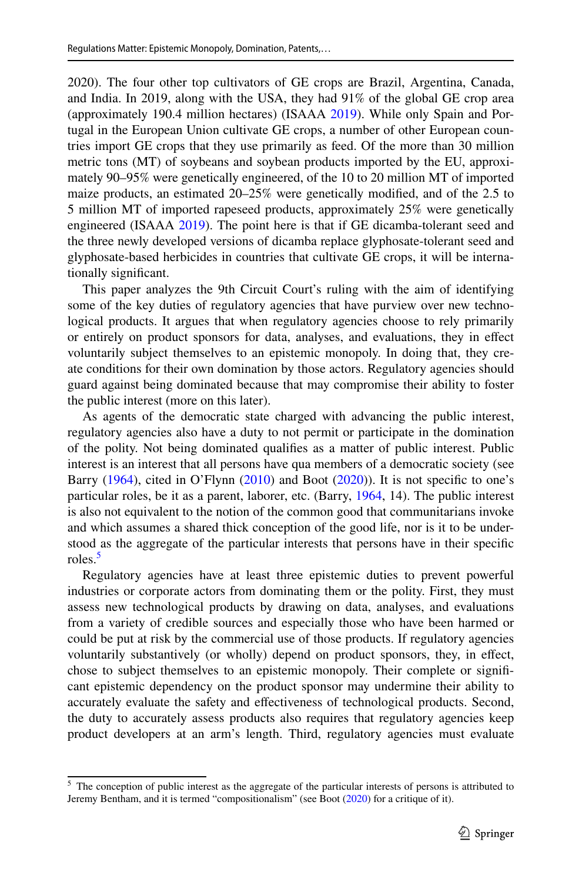2020). The four other top cultivators of GE crops are Brazil, Argentina, Canada, and India. In 2019, along with the USA, they had 91% of the global GE crop area (approximately 190.4 million hectares) (ISAAA [2019\)](#page-24-3). While only Spain and Portugal in the European Union cultivate GE crops, a number of other European countries import GE crops that they use primarily as feed. Of the more than 30 million metric tons (MT) of soybeans and soybean products imported by the EU, approximately 90–95% were genetically engineered, of the 10 to 20 million MT of imported maize products, an estimated 20–25% were genetically modifed, and of the 2.5 to 5 million MT of imported rapeseed products, approximately 25% were genetically engineered (ISAAA [2019](#page-24-3)). The point here is that if GE dicamba-tolerant seed and the three newly developed versions of dicamba replace glyphosate-tolerant seed and glyphosate-based herbicides in countries that cultivate GE crops, it will be internationally signifcant.

This paper analyzes the 9th Circuit Court's ruling with the aim of identifying some of the key duties of regulatory agencies that have purview over new technological products. It argues that when regulatory agencies choose to rely primarily or entirely on product sponsors for data, analyses, and evaluations, they in efect voluntarily subject themselves to an epistemic monopoly. In doing that, they create conditions for their own domination by those actors. Regulatory agencies should guard against being dominated because that may compromise their ability to foster the public interest (more on this later).

As agents of the democratic state charged with advancing the public interest, regulatory agencies also have a duty to not permit or participate in the domination of the polity. Not being dominated qualifes as a matter of public interest. Public interest is an interest that all persons have qua members of a democratic society (see Barry  $(1964)$  $(1964)$ , cited in O'Flynn  $(2010)$  $(2010)$  and Boot  $(2020)$  $(2020)$ ). It is not specific to one's particular roles, be it as a parent, laborer, etc. (Barry, [1964,](#page-23-1) 14). The public interest is also not equivalent to the notion of the common good that communitarians invoke and which assumes a shared thick conception of the good life, nor is it to be understood as the aggregate of the particular interests that persons have in their specifc roles.<sup>[5](#page-3-0)</sup>

Regulatory agencies have at least three epistemic duties to prevent powerful industries or corporate actors from dominating them or the polity. First, they must assess new technological products by drawing on data, analyses, and evaluations from a variety of credible sources and especially those who have been harmed or could be put at risk by the commercial use of those products. If regulatory agencies voluntarily substantively (or wholly) depend on product sponsors, they, in efect, chose to subject themselves to an epistemic monopoly. Their complete or signifcant epistemic dependency on the product sponsor may undermine their ability to accurately evaluate the safety and efectiveness of technological products. Second, the duty to accurately assess products also requires that regulatory agencies keep product developers at an arm's length. Third, regulatory agencies must evaluate

<span id="page-3-0"></span><sup>&</sup>lt;sup>5</sup> The conception of public interest as the aggregate of the particular interests of persons is attributed to Jeremy Bentham, and it is termed "compositionalism" (see Boot ([2020\)](#page-23-2) for a critique of it).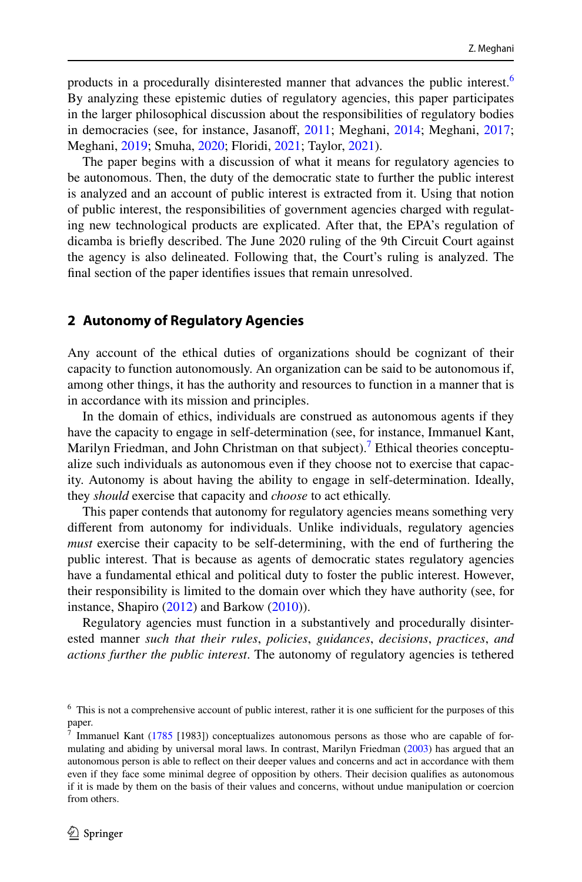products in a procedurally disinterested manner that advances the public interest.[6](#page-4-0) By analyzing these epistemic duties of regulatory agencies, this paper participates in the larger philosophical discussion about the responsibilities of regulatory bodies in democracies (see, for instance, Jasanoff, [2011;](#page-24-4) Meghani, [2014;](#page-25-3) Meghani, [2017;](#page-25-4) Meghani, [2019;](#page-25-5) Smuha, [2020;](#page-25-6) Floridi, [2021](#page-24-5); Taylor, [2021](#page-25-7)).

The paper begins with a discussion of what it means for regulatory agencies to be autonomous. Then, the duty of the democratic state to further the public interest is analyzed and an account of public interest is extracted from it. Using that notion of public interest, the responsibilities of government agencies charged with regulating new technological products are explicated. After that, the EPA's regulation of dicamba is briefy described. The June 2020 ruling of the 9th Circuit Court against the agency is also delineated. Following that, the Court's ruling is analyzed. The fnal section of the paper identifes issues that remain unresolved.

#### **2 Autonomy of Regulatory Agencies**

Any account of the ethical duties of organizations should be cognizant of their capacity to function autonomously. An organization can be said to be autonomous if, among other things, it has the authority and resources to function in a manner that is in accordance with its mission and principles.

In the domain of ethics, individuals are construed as autonomous agents if they have the capacity to engage in self-determination (see, for instance, Immanuel Kant, Marilyn Friedman, and John Christman on that subject).<sup>7</sup> Ethical theories conceptualize such individuals as autonomous even if they choose not to exercise that capacity. Autonomy is about having the ability to engage in self-determination. Ideally, they *should* exercise that capacity and *choose* to act ethically.

This paper contends that autonomy for regulatory agencies means something very diferent from autonomy for individuals. Unlike individuals, regulatory agencies *must* exercise their capacity to be self-determining, with the end of furthering the public interest. That is because as agents of democratic states regulatory agencies have a fundamental ethical and political duty to foster the public interest. However, their responsibility is limited to the domain over which they have authority (see, for instance, Shapiro ([2012\)](#page-25-8) and Barkow [\(2010](#page-23-3))).

Regulatory agencies must function in a substantively and procedurally disinterested manner *such that their rules*, *policies*, *guidances*, *decisions*, *practices*, *and actions further the public interest*. The autonomy of regulatory agencies is tethered

<span id="page-4-0"></span> $6$  This is not a comprehensive account of public interest, rather it is one sufficient for the purposes of this paper.<br> $\frac{1}{7}$  I<sub>m</sub>

<span id="page-4-1"></span>Immanuel Kant ([1785](#page-24-6) [1983]) conceptualizes autonomous persons as those who are capable of formulating and abiding by universal moral laws. In contrast, Marilyn Friedman ([2003\)](#page-24-7) has argued that an autonomous person is able to refect on their deeper values and concerns and act in accordance with them even if they face some minimal degree of opposition by others. Their decision qualifes as autonomous if it is made by them on the basis of their values and concerns, without undue manipulation or coercion from others.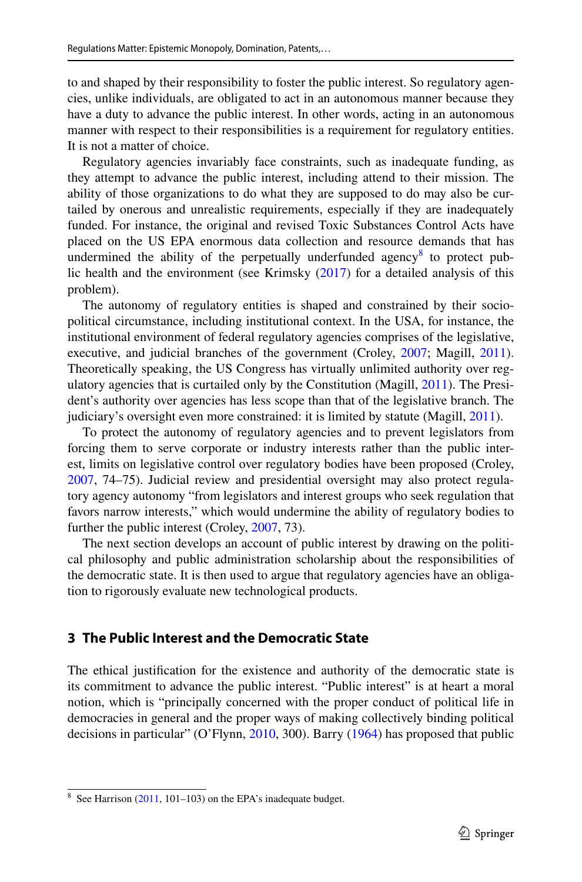to and shaped by their responsibility to foster the public interest. So regulatory agencies, unlike individuals, are obligated to act in an autonomous manner because they have a duty to advance the public interest. In other words, acting in an autonomous manner with respect to their responsibilities is a requirement for regulatory entities. It is not a matter of choice.

Regulatory agencies invariably face constraints, such as inadequate funding, as they attempt to advance the public interest, including attend to their mission. The ability of those organizations to do what they are supposed to do may also be curtailed by onerous and unrealistic requirements, especially if they are inadequately funded. For instance, the original and revised Toxic Substances Control Acts have placed on the US EPA enormous data collection and resource demands that has undermined the ability of the perpetually underfunded agency<sup>[8](#page-5-0)</sup> to protect public health and the environment (see Krimsky ([2017\)](#page-24-8) for a detailed analysis of this problem).

The autonomy of regulatory entities is shaped and constrained by their sociopolitical circumstance, including institutional context. In the USA, for instance, the institutional environment of federal regulatory agencies comprises of the legislative, executive, and judicial branches of the government (Croley, [2007;](#page-23-4) Magill, [2011\)](#page-25-9). Theoretically speaking, the US Congress has virtually unlimited authority over regulatory agencies that is curtailed only by the Constitution (Magill, [2011](#page-25-9)). The President's authority over agencies has less scope than that of the legislative branch. The judiciary's oversight even more constrained: it is limited by statute (Magill, [2011\)](#page-25-9).

To protect the autonomy of regulatory agencies and to prevent legislators from forcing them to serve corporate or industry interests rather than the public interest, limits on legislative control over regulatory bodies have been proposed (Croley, [2007](#page-23-4), 74–75). Judicial review and presidential oversight may also protect regulatory agency autonomy "from legislators and interest groups who seek regulation that favors narrow interests," which would undermine the ability of regulatory bodies to further the public interest (Croley, [2007,](#page-23-4) 73).

The next section develops an account of public interest by drawing on the political philosophy and public administration scholarship about the responsibilities of the democratic state. It is then used to argue that regulatory agencies have an obligation to rigorously evaluate new technological products.

## **3 The Public Interest and the Democratic State**

The ethical justifcation for the existence and authority of the democratic state is its commitment to advance the public interest. "Public interest" is at heart a moral notion, which is "principally concerned with the proper conduct of political life in democracies in general and the proper ways of making collectively binding political decisions in particular" (O'Flynn, [2010](#page-25-2), 300). Barry [\(1964](#page-23-1)) has proposed that public

<span id="page-5-0"></span> $8$  See Harrison [\(2011](#page-24-9), 101–103) on the EPA's inadequate budget.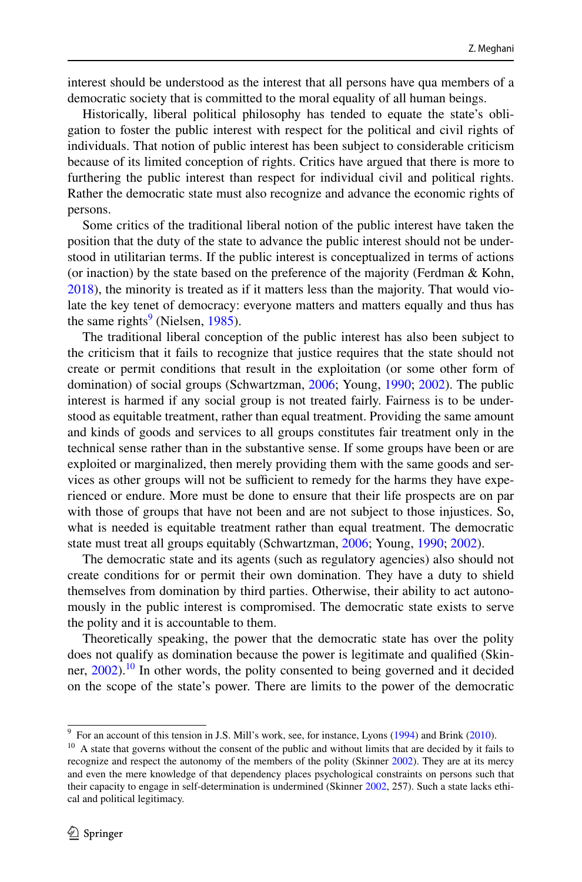interest should be understood as the interest that all persons have qua members of a democratic society that is committed to the moral equality of all human beings.

Historically, liberal political philosophy has tended to equate the state's obligation to foster the public interest with respect for the political and civil rights of individuals. That notion of public interest has been subject to considerable criticism because of its limited conception of rights. Critics have argued that there is more to furthering the public interest than respect for individual civil and political rights. Rather the democratic state must also recognize and advance the economic rights of persons.

Some critics of the traditional liberal notion of the public interest have taken the position that the duty of the state to advance the public interest should not be understood in utilitarian terms. If the public interest is conceptualized in terms of actions (or inaction) by the state based on the preference of the majority (Ferdman & Kohn, [2018](#page-24-10)), the minority is treated as if it matters less than the majority. That would violate the key tenet of democracy: everyone matters and matters equally and thus has the same rights<sup>[9](#page-6-0)</sup> (Nielsen, [1985\)](#page-25-10).

The traditional liberal conception of the public interest has also been subject to the criticism that it fails to recognize that justice requires that the state should not create or permit conditions that result in the exploitation (or some other form of domination) of social groups (Schwartzman, [2006](#page-25-11); Young, [1990;](#page-26-0) [2002](#page-26-1)). The public interest is harmed if any social group is not treated fairly. Fairness is to be understood as equitable treatment, rather than equal treatment. Providing the same amount and kinds of goods and services to all groups constitutes fair treatment only in the technical sense rather than in the substantive sense. If some groups have been or are exploited or marginalized, then merely providing them with the same goods and services as other groups will not be sufficient to remedy for the harms they have experienced or endure. More must be done to ensure that their life prospects are on par with those of groups that have not been and are not subject to those injustices. So, what is needed is equitable treatment rather than equal treatment. The democratic state must treat all groups equitably (Schwartzman, [2006](#page-25-11); Young, [1990](#page-26-0); [2002](#page-26-1)).

The democratic state and its agents (such as regulatory agencies) also should not create conditions for or permit their own domination. They have a duty to shield themselves from domination by third parties. Otherwise, their ability to act autonomously in the public interest is compromised. The democratic state exists to serve the polity and it is accountable to them.

Theoretically speaking, the power that the democratic state has over the polity does not qualify as domination because the power is legitimate and qualifed (Skin-ner, [2002](#page-25-12)).<sup>10</sup> In other words, the polity consented to being governed and it decided on the scope of the state's power. There are limits to the power of the democratic

<span id="page-6-0"></span><sup>&</sup>lt;sup>9</sup> For an account of this tension in J.S. Mill's work, see, for instance, Lyons ([1994\)](#page-24-11) and Brink ([2010\)](#page-23-5).

<span id="page-6-1"></span><sup>&</sup>lt;sup>10</sup> A state that governs without the consent of the public and without limits that are decided by it fails to recognize and respect the autonomy of the members of the polity (Skinner [2002](#page-25-12)). They are at its mercy and even the mere knowledge of that dependency places psychological constraints on persons such that their capacity to engage in self-determination is undermined (Skinner [2002](#page-25-12), 257). Such a state lacks ethical and political legitimacy.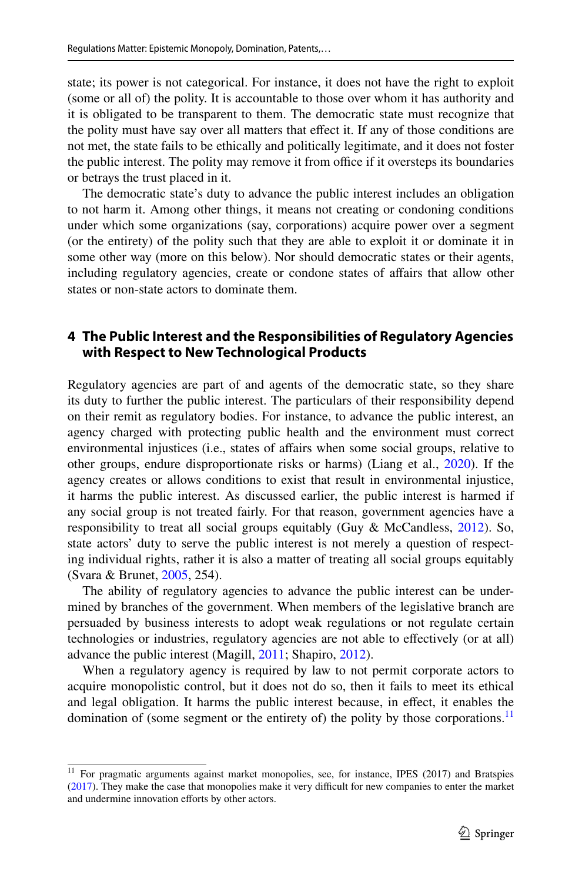state; its power is not categorical. For instance, it does not have the right to exploit (some or all of) the polity. It is accountable to those over whom it has authority and it is obligated to be transparent to them. The democratic state must recognize that the polity must have say over all matters that efect it. If any of those conditions are not met, the state fails to be ethically and politically legitimate, and it does not foster the public interest. The polity may remove it from office if it oversteps its boundaries or betrays the trust placed in it.

The democratic state's duty to advance the public interest includes an obligation to not harm it. Among other things, it means not creating or condoning conditions under which some organizations (say, corporations) acquire power over a segment (or the entirety) of the polity such that they are able to exploit it or dominate it in some other way (more on this below). Nor should democratic states or their agents, including regulatory agencies, create or condone states of afairs that allow other states or non-state actors to dominate them.

### **4 The Public Interest and the Responsibilities of Regulatory Agencies with Respect to New Technological Products**

Regulatory agencies are part of and agents of the democratic state, so they share its duty to further the public interest. The particulars of their responsibility depend on their remit as regulatory bodies. For instance, to advance the public interest, an agency charged with protecting public health and the environment must correct environmental injustices (i.e., states of afairs when some social groups, relative to other groups, endure disproportionate risks or harms) (Liang et al., [2020\)](#page-24-12). If the agency creates or allows conditions to exist that result in environmental injustice, it harms the public interest. As discussed earlier, the public interest is harmed if any social group is not treated fairly. For that reason, government agencies have a responsibility to treat all social groups equitably (Guy & McCandless, [2012\)](#page-24-13). So, state actors' duty to serve the public interest is not merely a question of respecting individual rights, rather it is also a matter of treating all social groups equitably (Svara & Brunet, [2005](#page-25-13), 254).

The ability of regulatory agencies to advance the public interest can be undermined by branches of the government. When members of the legislative branch are persuaded by business interests to adopt weak regulations or not regulate certain technologies or industries, regulatory agencies are not able to efectively (or at all) advance the public interest (Magill, [2011](#page-25-9); Shapiro, [2012\)](#page-25-8).

When a regulatory agency is required by law to not permit corporate actors to acquire monopolistic control, but it does not do so, then it fails to meet its ethical and legal obligation. It harms the public interest because, in efect, it enables the domination of (some segment or the entirety of) the polity by those corporations.<sup>11</sup>

<span id="page-7-0"></span><sup>&</sup>lt;sup>11</sup> For pragmatic arguments against market monopolies, see, for instance, IPES (2017) and Bratspies ([2017\)](#page-23-6). They make the case that monopolies make it very difficult for new companies to enter the market and undermine innovation efforts by other actors.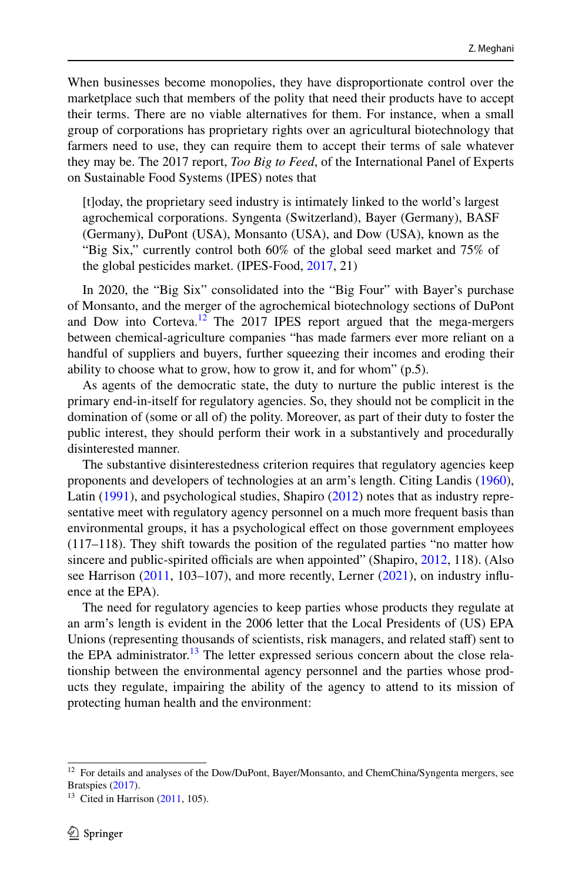When businesses become monopolies, they have disproportionate control over the marketplace such that members of the polity that need their products have to accept their terms. There are no viable alternatives for them. For instance, when a small group of corporations has proprietary rights over an agricultural biotechnology that farmers need to use, they can require them to accept their terms of sale whatever they may be. The 2017 report, *Too Big to Feed*, of the International Panel of Experts on Sustainable Food Systems (IPES) notes that

[t]oday, the proprietary seed industry is intimately linked to the world's largest agrochemical corporations. Syngenta (Switzerland), Bayer (Germany), BASF (Germany), DuPont (USA), Monsanto (USA), and Dow (USA), known as the "Big Six," currently control both 60% of the global seed market and 75% of the global pesticides market. (IPES-Food, [2017,](#page-24-14) 21)

In 2020, the "Big Six" consolidated into the "Big Four" with Bayer's purchase of Monsanto, and the merger of the agrochemical biotechnology sections of DuPont and Dow into Corteva.<sup>[12](#page-8-0)</sup> The 2017 IPES report argued that the mega-mergers between chemical-agriculture companies "has made farmers ever more reliant on a handful of suppliers and buyers, further squeezing their incomes and eroding their ability to choose what to grow, how to grow it, and for whom" (p.5).

As agents of the democratic state, the duty to nurture the public interest is the primary end-in-itself for regulatory agencies. So, they should not be complicit in the domination of (some or all of) the polity. Moreover, as part of their duty to foster the public interest, they should perform their work in a substantively and procedurally disinterested manner.

The substantive disinterestedness criterion requires that regulatory agencies keep proponents and developers of technologies at an arm's length. Citing Landis ([1960\)](#page-24-15), Latin [\(1991](#page-24-16)), and psychological studies, Shapiro ([2012\)](#page-25-8) notes that as industry representative meet with regulatory agency personnel on a much more frequent basis than environmental groups, it has a psychological efect on those government employees (117–118). They shift towards the position of the regulated parties "no matter how sincere and public-spirited officials are when appointed" (Shapiro, [2012,](#page-25-8) 118). (Also see Harrison  $(2011, 103-107)$  $(2011, 103-107)$  $(2011, 103-107)$ , and more recently, Lerner  $(2021)$  $(2021)$ , on industry influence at the EPA).

The need for regulatory agencies to keep parties whose products they regulate at an arm's length is evident in the 2006 letter that the Local Presidents of (US) EPA Unions (representing thousands of scientists, risk managers, and related staff) sent to the EPA administrator.<sup>13</sup> The letter expressed serious concern about the close relationship between the environmental agency personnel and the parties whose products they regulate, impairing the ability of the agency to attend to its mission of protecting human health and the environment:

<span id="page-8-0"></span><sup>&</sup>lt;sup>12</sup> For details and analyses of the Dow/DuPont, Bayer/Monsanto, and ChemChina/Syngenta mergers, see Bratspies [\(2017](#page-23-6)).

<span id="page-8-1"></span> $13$  Cited in Harrison  $(2011, 105)$  $(2011, 105)$ .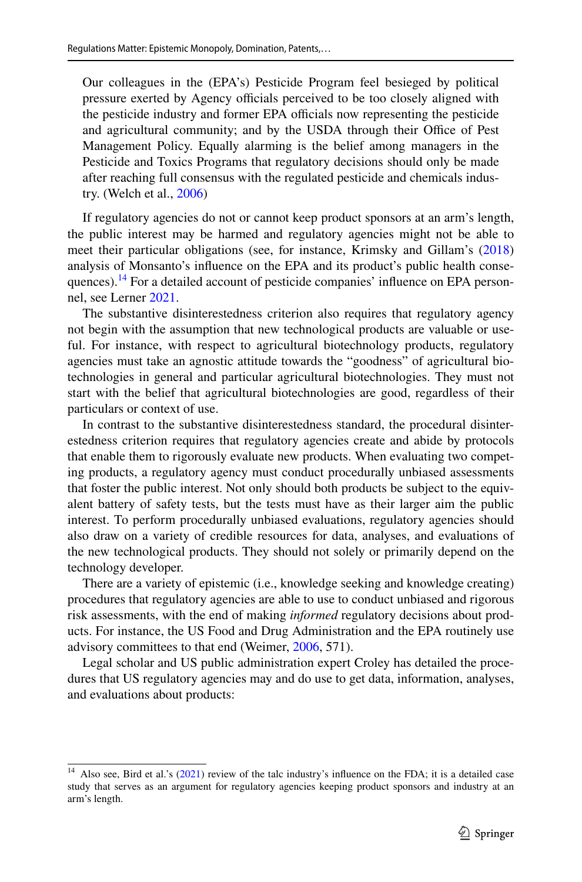Our colleagues in the (EPA's) Pesticide Program feel besieged by political pressure exerted by Agency officials perceived to be too closely aligned with the pesticide industry and former EPA officials now representing the pesticide and agricultural community; and by the USDA through their Office of Pest Management Policy. Equally alarming is the belief among managers in the Pesticide and Toxics Programs that regulatory decisions should only be made after reaching full consensus with the regulated pesticide and chemicals industry. (Welch et al., [2006](#page-26-2))

If regulatory agencies do not or cannot keep product sponsors at an arm's length, the public interest may be harmed and regulatory agencies might not be able to meet their particular obligations (see, for instance, Krimsky and Gillam's [\(2018](#page-24-18)) analysis of Monsanto's infuence on the EPA and its product's public health consequences).<sup>14</sup> For a detailed account of pesticide companies' influence on EPA personnel, see Lerner [2021.](#page-24-17)

The substantive disinterestedness criterion also requires that regulatory agency not begin with the assumption that new technological products are valuable or useful. For instance, with respect to agricultural biotechnology products, regulatory agencies must take an agnostic attitude towards the "goodness" of agricultural biotechnologies in general and particular agricultural biotechnologies. They must not start with the belief that agricultural biotechnologies are good, regardless of their particulars or context of use.

In contrast to the substantive disinterestedness standard, the procedural disinterestedness criterion requires that regulatory agencies create and abide by protocols that enable them to rigorously evaluate new products. When evaluating two competing products, a regulatory agency must conduct procedurally unbiased assessments that foster the public interest. Not only should both products be subject to the equivalent battery of safety tests, but the tests must have as their larger aim the public interest. To perform procedurally unbiased evaluations, regulatory agencies should also draw on a variety of credible resources for data, analyses, and evaluations of the new technological products. They should not solely or primarily depend on the technology developer.

There are a variety of epistemic (i.e., knowledge seeking and knowledge creating) procedures that regulatory agencies are able to use to conduct unbiased and rigorous risk assessments, with the end of making *informed* regulatory decisions about products. For instance, the US Food and Drug Administration and the EPA routinely use advisory committees to that end (Weimer, [2006](#page-26-3), 571).

Legal scholar and US public administration expert Croley has detailed the procedures that US regulatory agencies may and do use to get data, information, analyses, and evaluations about products:

<span id="page-9-0"></span><sup>&</sup>lt;sup>14</sup> Also see, Bird et al.'s ([2021\)](#page-23-7) review of the talc industry's influence on the FDA; it is a detailed case study that serves as an argument for regulatory agencies keeping product sponsors and industry at an arm's length.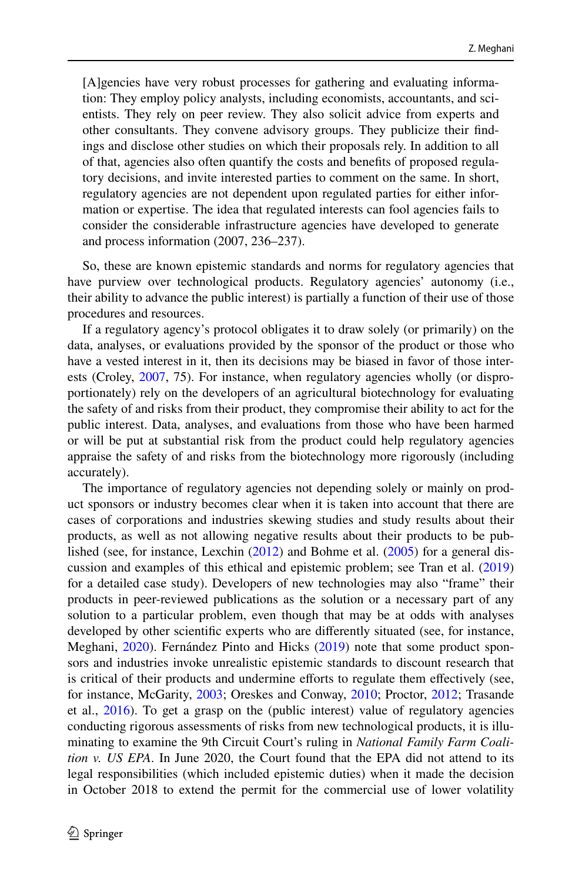[A]gencies have very robust processes for gathering and evaluating information: They employ policy analysts, including economists, accountants, and scientists. They rely on peer review. They also solicit advice from experts and other consultants. They convene advisory groups. They publicize their fndings and disclose other studies on which their proposals rely. In addition to all of that, agencies also often quantify the costs and benefts of proposed regulatory decisions, and invite interested parties to comment on the same. In short, regulatory agencies are not dependent upon regulated parties for either information or expertise. The idea that regulated interests can fool agencies fails to consider the considerable infrastructure agencies have developed to generate and process information (2007, 236–237).

So, these are known epistemic standards and norms for regulatory agencies that have purview over technological products. Regulatory agencies' autonomy (i.e., their ability to advance the public interest) is partially a function of their use of those procedures and resources.

If a regulatory agency's protocol obligates it to draw solely (or primarily) on the data, analyses, or evaluations provided by the sponsor of the product or those who have a vested interest in it, then its decisions may be biased in favor of those interests (Croley, [2007](#page-23-4), 75). For instance, when regulatory agencies wholly (or disproportionately) rely on the developers of an agricultural biotechnology for evaluating the safety of and risks from their product, they compromise their ability to act for the public interest. Data, analyses, and evaluations from those who have been harmed or will be put at substantial risk from the product could help regulatory agencies appraise the safety of and risks from the biotechnology more rigorously (including accurately).

The importance of regulatory agencies not depending solely or mainly on product sponsors or industry becomes clear when it is taken into account that there are cases of corporations and industries skewing studies and study results about their products, as well as not allowing negative results about their products to be published (see, for instance, Lexchin ([2012\)](#page-24-19) and Bohme et al. ([2005\)](#page-23-8) for a general discussion and examples of this ethical and epistemic problem; see Tran et al. [\(2019](#page-25-14)) for a detailed case study). Developers of new technologies may also "frame" their products in peer-reviewed publications as the solution or a necessary part of any solution to a particular problem, even though that may be at odds with analyses developed by other scientifc experts who are diferently situated (see, for instance, Meghani, [2020\)](#page-25-15). Fernández Pinto and Hicks ([2019\)](#page-24-20) note that some product sponsors and industries invoke unrealistic epistemic standards to discount research that is critical of their products and undermine efforts to regulate them effectively (see, for instance, McGarity, [2003](#page-25-16); Oreskes and Conway, [2010](#page-25-17); Proctor, [2012;](#page-25-17) Trasande et al., [2016](#page-26-4)). To get a grasp on the (public interest) value of regulatory agencies conducting rigorous assessments of risks from new technological products, it is illuminating to examine the 9th Circuit Court's ruling in *National Family Farm Coalition v. US EPA*. In June 2020, the Court found that the EPA did not attend to its legal responsibilities (which included epistemic duties) when it made the decision in October 2018 to extend the permit for the commercial use of lower volatility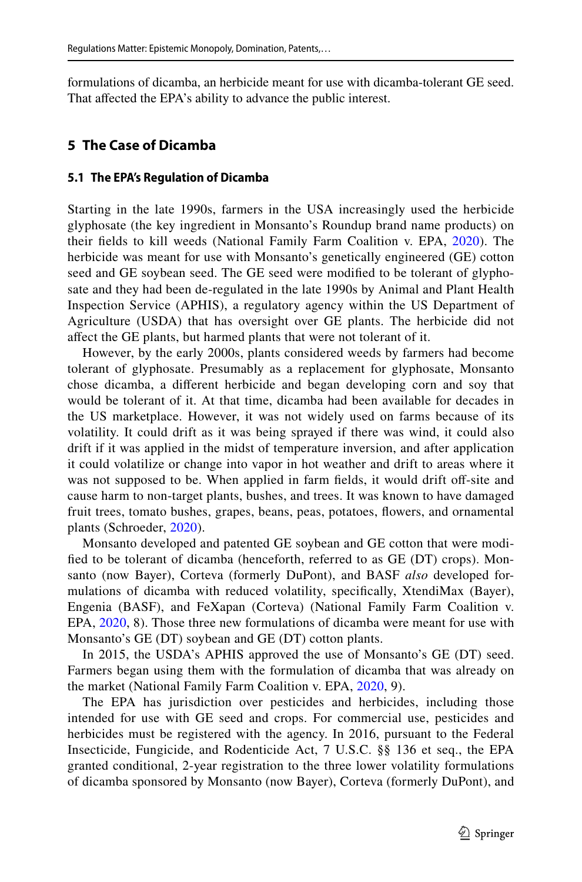formulations of dicamba, an herbicide meant for use with dicamba-tolerant GE seed. That affected the EPA's ability to advance the public interest.

## **5 The Case of Dicamba**

#### **5.1 The EPA's Regulation of Dicamba**

Starting in the late 1990s, farmers in the USA increasingly used the herbicide glyphosate (the key ingredient in Monsanto's Roundup brand name products) on their felds to kill weeds (National Family Farm Coalition v. EPA, [2020](#page-25-0)). The herbicide was meant for use with Monsanto's genetically engineered (GE) cotton seed and GE soybean seed. The GE seed were modifed to be tolerant of glyphosate and they had been de-regulated in the late 1990s by Animal and Plant Health Inspection Service (APHIS), a regulatory agency within the US Department of Agriculture (USDA) that has oversight over GE plants. The herbicide did not afect the GE plants, but harmed plants that were not tolerant of it.

However, by the early 2000s, plants considered weeds by farmers had become tolerant of glyphosate. Presumably as a replacement for glyphosate, Monsanto chose dicamba, a diferent herbicide and began developing corn and soy that would be tolerant of it. At that time, dicamba had been available for decades in the US marketplace. However, it was not widely used on farms because of its volatility. It could drift as it was being sprayed if there was wind, it could also drift if it was applied in the midst of temperature inversion, and after application it could volatilize or change into vapor in hot weather and drift to areas where it was not supposed to be. When applied in farm fields, it would drift off-site and cause harm to non-target plants, bushes, and trees. It was known to have damaged fruit trees, tomato bushes, grapes, beans, peas, potatoes, fowers, and ornamental plants (Schroeder, [2020](#page-25-18)).

Monsanto developed and patented GE soybean and GE cotton that were modifed to be tolerant of dicamba (henceforth, referred to as GE (DT) crops). Monsanto (now Bayer), Corteva (formerly DuPont), and BASF *also* developed formulations of dicamba with reduced volatility, specifcally, XtendiMax (Bayer), Engenia (BASF), and FeXapan (Corteva) (National Family Farm Coalition v. EPA, [2020,](#page-25-0) 8). Those three new formulations of dicamba were meant for use with Monsanto's GE (DT) soybean and GE (DT) cotton plants.

In 2015, the USDA's APHIS approved the use of Monsanto's GE (DT) seed. Farmers began using them with the formulation of dicamba that was already on the market (National Family Farm Coalition v. EPA, [2020](#page-25-0), 9).

The EPA has jurisdiction over pesticides and herbicides, including those intended for use with GE seed and crops. For commercial use, pesticides and herbicides must be registered with the agency. In 2016, pursuant to the Federal Insecticide, Fungicide, and Rodenticide Act, 7 U.S.C. §§ 136 et seq., the EPA granted conditional, 2-year registration to the three lower volatility formulations of dicamba sponsored by Monsanto (now Bayer), Corteva (formerly DuPont), and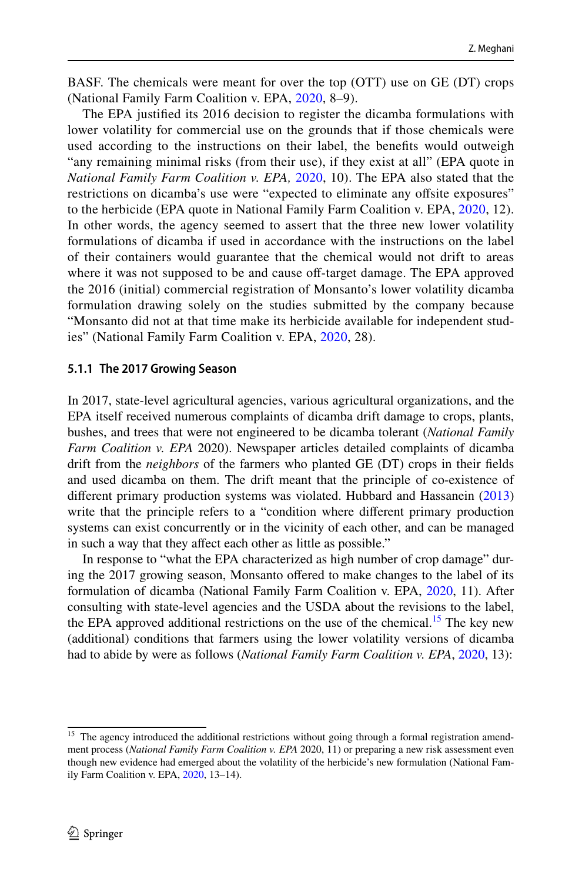BASF. The chemicals were meant for over the top (OTT) use on GE (DT) crops (National Family Farm Coalition v. EPA, [2020,](#page-25-0) 8–9).

The EPA justifed its 2016 decision to register the dicamba formulations with lower volatility for commercial use on the grounds that if those chemicals were used according to the instructions on their label, the benefts would outweigh "any remaining minimal risks (from their use), if they exist at all" (EPA quote in *National Family Farm Coalition v. EPA,* [2020,](#page-25-0) 10). The EPA also stated that the restrictions on dicamba's use were "expected to eliminate any ofsite exposures" to the herbicide (EPA quote in National Family Farm Coalition v. EPA, [2020,](#page-25-0) 12). In other words, the agency seemed to assert that the three new lower volatility formulations of dicamba if used in accordance with the instructions on the label of their containers would guarantee that the chemical would not drift to areas where it was not supposed to be and cause off-target damage. The EPA approved the 2016 (initial) commercial registration of Monsanto's lower volatility dicamba formulation drawing solely on the studies submitted by the company because "Monsanto did not at that time make its herbicide available for independent studies" (National Family Farm Coalition v. EPA, [2020,](#page-25-0) 28).

#### **5.1.1 The 2017 Growing Season**

In 2017, state-level agricultural agencies, various agricultural organizations, and the EPA itself received numerous complaints of dicamba drift damage to crops, plants, bushes, and trees that were not engineered to be dicamba tolerant (*National Family Farm Coalition v. EPA* 2020). Newspaper articles detailed complaints of dicamba drift from the *neighbors* of the farmers who planted GE (DT) crops in their felds and used dicamba on them. The drift meant that the principle of co-existence of diferent primary production systems was violated. Hubbard and Hassanein [\(2013](#page-24-21)) write that the principle refers to a "condition where diferent primary production systems can exist concurrently or in the vicinity of each other, and can be managed in such a way that they afect each other as little as possible."

In response to "what the EPA characterized as high number of crop damage" during the 2017 growing season, Monsanto ofered to make changes to the label of its formulation of dicamba (National Family Farm Coalition v. EPA, [2020](#page-25-0), 11). After consulting with state-level agencies and the USDA about the revisions to the label, the EPA approved additional restrictions on the use of the chemical.<sup>15</sup> The key new (additional) conditions that farmers using the lower volatility versions of dicamba had to abide by were as follows (*National Family Farm Coalition v. EPA*, [2020](#page-25-0), 13):

<span id="page-12-0"></span><sup>&</sup>lt;sup>15</sup> The agency introduced the additional restrictions without going through a formal registration amendment process (*National Family Farm Coalition v. EPA* 2020, 11) or preparing a new risk assessment even though new evidence had emerged about the volatility of the herbicide's new formulation (National Family Farm Coalition v. EPA, [2020](#page-25-0), 13–14).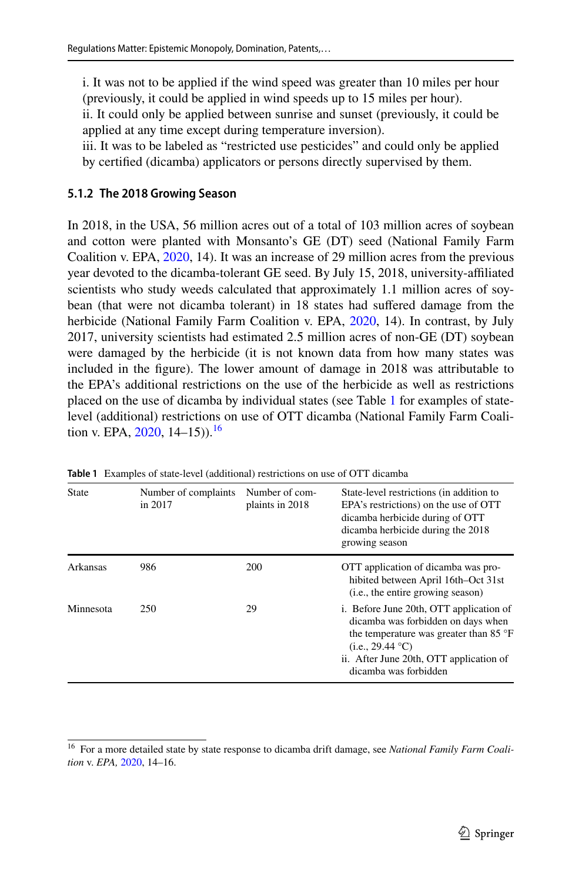i. It was not to be applied if the wind speed was greater than 10 miles per hour (previously, it could be applied in wind speeds up to 15 miles per hour).

ii. It could only be applied between sunrise and sunset (previously, it could be applied at any time except during temperature inversion).

iii. It was to be labeled as "restricted use pesticides" and could only be applied by certifed (dicamba) applicators or persons directly supervised by them.

## **5.1.2 The 2018 Growing Season**

In 2018, in the USA, 56 million acres out of a total of 103 million acres of soybean and cotton were planted with Monsanto's GE (DT) seed (National Family Farm Coalition v. EPA, [2020](#page-25-0), 14). It was an increase of 29 million acres from the previous year devoted to the dicamba-tolerant GE seed. By July 15, 2018, university-afliated scientists who study weeds calculated that approximately 1.1 million acres of soybean (that were not dicamba tolerant) in 18 states had sufered damage from the herbicide (National Family Farm Coalition v. EPA, [2020](#page-25-0), 14). In contrast, by July 2017, university scientists had estimated 2.5 million acres of non-GE (DT) soybean were damaged by the herbicide (it is not known data from how many states was included in the fgure). The lower amount of damage in 2018 was attributable to the EPA's additional restrictions on the use of the herbicide as well as restrictions placed on the use of dicamba by individual states (see Table [1](#page-13-0) for examples of statelevel (additional) restrictions on use of OTT dicamba (National Family Farm Coalition v. EPA,  $2020$ ,  $14-15$ )).<sup>[16](#page-13-1)</sup>

| <b>State</b> | Number of complaints<br>in 2017 | Number of com-<br>plaints in 2018 | State-level restrictions (in addition to<br>EPA's restrictions) on the use of OTT<br>dicamba herbicide during of OTT<br>dicamba herbicide during the 2018<br>growing season                                              |
|--------------|---------------------------------|-----------------------------------|--------------------------------------------------------------------------------------------------------------------------------------------------------------------------------------------------------------------------|
| Arkansas     | 986                             | 200                               | OTT application of dicamba was pro-<br>hibited between April 16th–Oct 31st<br>( <i>i.e.</i> , the entire growing season)                                                                                                 |
| Minnesota    | 250                             | 29                                | i. Before June 20th, OTT application of<br>dicamba was forbidden on days when<br>the temperature was greater than 85 $\degree$ F<br>(i.e., 29.44 °C)<br>ii. After June 20th, OTT application of<br>dicamba was forbidden |

<span id="page-13-0"></span>**Table 1** Examples of state-level (additional) restrictions on use of OTT dicamba

<span id="page-13-1"></span><sup>16</sup> For a more detailed state by state response to dicamba drift damage, see *National Family Farm Coalition* v. *EPA,* [2020](#page-25-0), 14–16.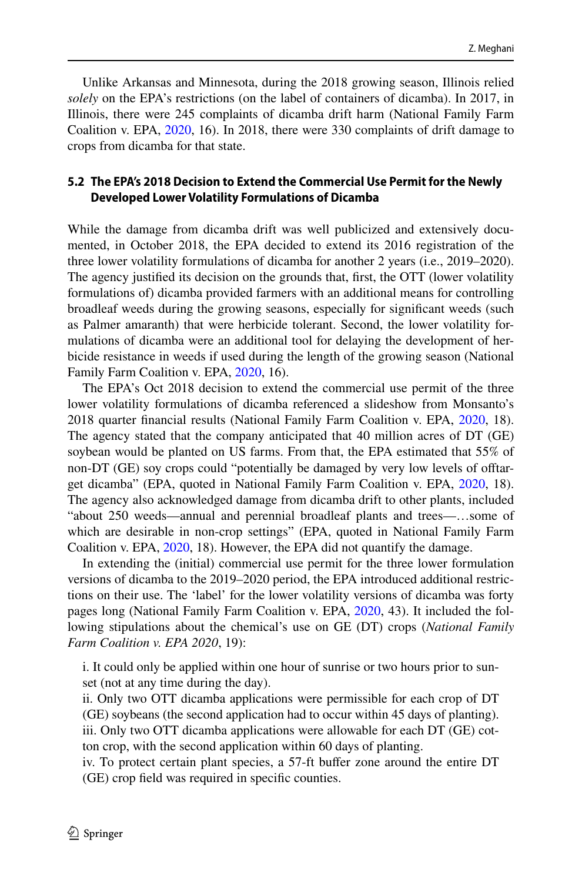Unlike Arkansas and Minnesota, during the 2018 growing season, Illinois relied *solely* on the EPA's restrictions (on the label of containers of dicamba). In 2017, in Illinois, there were 245 complaints of dicamba drift harm (National Family Farm Coalition v. EPA, [2020,](#page-25-0) 16). In 2018, there were 330 complaints of drift damage to crops from dicamba for that state.

#### **5.2 The EPA's 2018 Decision to Extend the Commercial Use Permit for the Newly Developed Lower Volatility Formulations of Dicamba**

While the damage from dicamba drift was well publicized and extensively documented, in October 2018, the EPA decided to extend its 2016 registration of the three lower volatility formulations of dicamba for another 2 years (i.e., 2019–2020). The agency justifed its decision on the grounds that, frst, the OTT (lower volatility formulations of) dicamba provided farmers with an additional means for controlling broadleaf weeds during the growing seasons, especially for signifcant weeds (such as Palmer amaranth) that were herbicide tolerant. Second, the lower volatility formulations of dicamba were an additional tool for delaying the development of herbicide resistance in weeds if used during the length of the growing season (National Family Farm Coalition v. EPA, [2020,](#page-25-0) 16).

The EPA's Oct 2018 decision to extend the commercial use permit of the three lower volatility formulations of dicamba referenced a slideshow from Monsanto's 2018 quarter fnancial results (National Family Farm Coalition v. EPA, [2020,](#page-25-0) 18). The agency stated that the company anticipated that 40 million acres of DT (GE) soybean would be planted on US farms. From that, the EPA estimated that 55% of non-DT (GE) soy crops could "potentially be damaged by very low levels of oftarget dicamba" (EPA, quoted in National Family Farm Coalition v. EPA, [2020,](#page-25-0) 18). The agency also acknowledged damage from dicamba drift to other plants, included "about 250 weeds—annual and perennial broadleaf plants and trees—…some of which are desirable in non-crop settings" (EPA, quoted in National Family Farm Coalition v. EPA, [2020](#page-25-0), 18). However, the EPA did not quantify the damage.

In extending the (initial) commercial use permit for the three lower formulation versions of dicamba to the 2019–2020 period, the EPA introduced additional restrictions on their use. The 'label' for the lower volatility versions of dicamba was forty pages long (National Family Farm Coalition v. EPA, [2020,](#page-25-0) 43). It included the following stipulations about the chemical's use on GE (DT) crops (*National Family Farm Coalition v. EPA 2020*, 19):

i. It could only be applied within one hour of sunrise or two hours prior to sunset (not at any time during the day).

ii. Only two OTT dicamba applications were permissible for each crop of DT (GE) soybeans (the second application had to occur within 45 days of planting). iii. Only two OTT dicamba applications were allowable for each DT (GE) cotton crop, with the second application within 60 days of planting.

iv. To protect certain plant species, a 57-ft bufer zone around the entire DT (GE) crop feld was required in specifc counties.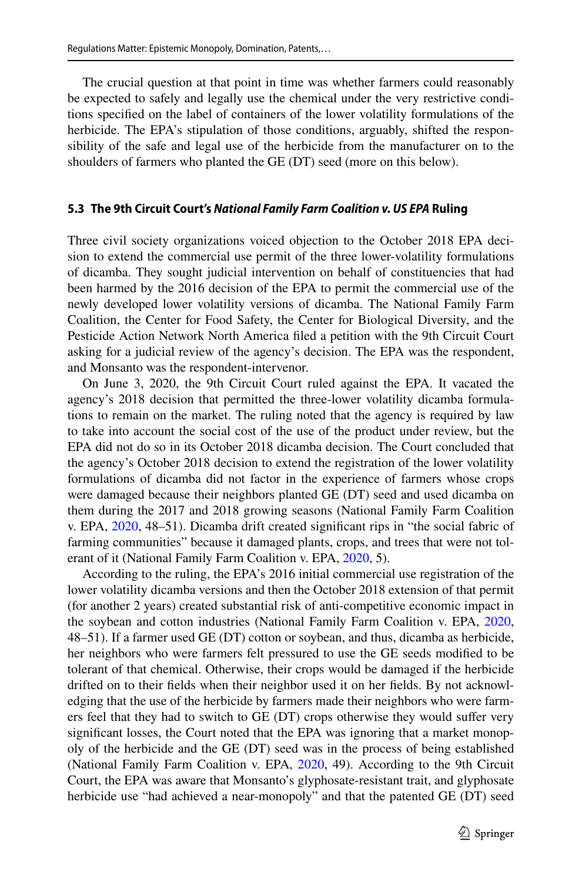The crucial question at that point in time was whether farmers could reasonably be expected to safely and legally use the chemical under the very restrictive conditions specifed on the label of containers of the lower volatility formulations of the herbicide. The EPA's stipulation of those conditions, arguably, shifted the responsibility of the safe and legal use of the herbicide from the manufacturer on to the shoulders of farmers who planted the GE (DT) seed (more on this below).

#### **5.3 The 9th Circuit Court's** *National Family Farm Coalition v. US EPA* **Ruling**

Three civil society organizations voiced objection to the October 2018 EPA decision to extend the commercial use permit of the three lower-volatility formulations of dicamba. They sought judicial intervention on behalf of constituencies that had been harmed by the 2016 decision of the EPA to permit the commercial use of the newly developed lower volatility versions of dicamba. The National Family Farm Coalition, the Center for Food Safety, the Center for Biological Diversity, and the Pesticide Action Network North America fled a petition with the 9th Circuit Court asking for a judicial review of the agency's decision. The EPA was the respondent, and Monsanto was the respondent-intervenor.

On June 3, 2020, the 9th Circuit Court ruled against the EPA. It vacated the agency's 2018 decision that permitted the three-lower volatility dicamba formulations to remain on the market. The ruling noted that the agency is required by law to take into account the social cost of the use of the product under review, but the EPA did not do so in its October 2018 dicamba decision. The Court concluded that the agency's October 2018 decision to extend the registration of the lower volatility formulations of dicamba did not factor in the experience of farmers whose crops were damaged because their neighbors planted GE (DT) seed and used dicamba on them during the 2017 and 2018 growing seasons (National Family Farm Coalition v. EPA, [2020](#page-25-0), 48–51). Dicamba drift created signifcant rips in "the social fabric of farming communities" because it damaged plants, crops, and trees that were not tolerant of it (National Family Farm Coalition v. EPA, [2020,](#page-25-0) 5).

According to the ruling, the EPA's 2016 initial commercial use registration of the lower volatility dicamba versions and then the October 2018 extension of that permit (for another 2 years) created substantial risk of anti-competitive economic impact in the soybean and cotton industries (National Family Farm Coalition v. EPA, [2020,](#page-25-0) 48–51). If a farmer used GE (DT) cotton or soybean, and thus, dicamba as herbicide, her neighbors who were farmers felt pressured to use the GE seeds modifed to be tolerant of that chemical. Otherwise, their crops would be damaged if the herbicide drifted on to their felds when their neighbor used it on her felds. By not acknowledging that the use of the herbicide by farmers made their neighbors who were farmers feel that they had to switch to GE (DT) crops otherwise they would sufer very signifcant losses, the Court noted that the EPA was ignoring that a market monopoly of the herbicide and the GE (DT) seed was in the process of being established (National Family Farm Coalition v. EPA, [2020,](#page-25-0) 49). According to the 9th Circuit Court, the EPA was aware that Monsanto's glyphosate-resistant trait, and glyphosate herbicide use "had achieved a near-monopoly" and that the patented GE (DT) seed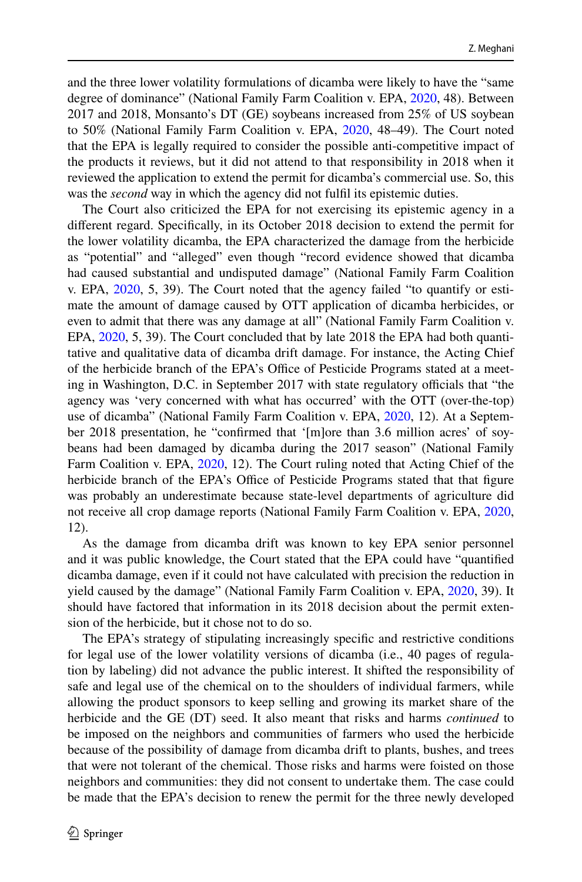and the three lower volatility formulations of dicamba were likely to have the "same degree of dominance" (National Family Farm Coalition v. EPA, [2020,](#page-25-0) 48). Between 2017 and 2018, Monsanto's DT (GE) soybeans increased from 25% of US soybean to 50% (National Family Farm Coalition v. EPA, [2020,](#page-25-0) 48–49). The Court noted that the EPA is legally required to consider the possible anti-competitive impact of the products it reviews, but it did not attend to that responsibility in 2018 when it reviewed the application to extend the permit for dicamba's commercial use. So, this was the *second* way in which the agency did not fulfl its epistemic duties.

The Court also criticized the EPA for not exercising its epistemic agency in a diferent regard. Specifcally, in its October 2018 decision to extend the permit for the lower volatility dicamba, the EPA characterized the damage from the herbicide as "potential" and "alleged" even though "record evidence showed that dicamba had caused substantial and undisputed damage" (National Family Farm Coalition v. EPA, [2020,](#page-25-0) 5, 39). The Court noted that the agency failed "to quantify or estimate the amount of damage caused by OTT application of dicamba herbicides, or even to admit that there was any damage at all" (National Family Farm Coalition v. EPA, [2020,](#page-25-0) 5, 39). The Court concluded that by late 2018 the EPA had both quantitative and qualitative data of dicamba drift damage. For instance, the Acting Chief of the herbicide branch of the EPA's Office of Pesticide Programs stated at a meeting in Washington, D.C. in September 2017 with state regulatory officials that "the agency was 'very concerned with what has occurred' with the OTT (over-the-top) use of dicamba" (National Family Farm Coalition v. EPA, [2020](#page-25-0), 12). At a September 2018 presentation, he "confrmed that '[m]ore than 3.6 million acres' of soybeans had been damaged by dicamba during the 2017 season" (National Family Farm Coalition v. EPA, [2020](#page-25-0), 12). The Court ruling noted that Acting Chief of the herbicide branch of the EPA's Office of Pesticide Programs stated that that figure was probably an underestimate because state-level departments of agriculture did not receive all crop damage reports (National Family Farm Coalition v. EPA, [2020,](#page-25-0) 12).

As the damage from dicamba drift was known to key EPA senior personnel and it was public knowledge, the Court stated that the EPA could have "quantifed dicamba damage, even if it could not have calculated with precision the reduction in yield caused by the damage" (National Family Farm Coalition v. EPA, [2020](#page-25-0), 39). It should have factored that information in its 2018 decision about the permit extension of the herbicide, but it chose not to do so.

The EPA's strategy of stipulating increasingly specifc and restrictive conditions for legal use of the lower volatility versions of dicamba (i.e., 40 pages of regulation by labeling) did not advance the public interest. It shifted the responsibility of safe and legal use of the chemical on to the shoulders of individual farmers, while allowing the product sponsors to keep selling and growing its market share of the herbicide and the GE (DT) seed. It also meant that risks and harms *continued* to be imposed on the neighbors and communities of farmers who used the herbicide because of the possibility of damage from dicamba drift to plants, bushes, and trees that were not tolerant of the chemical. Those risks and harms were foisted on those neighbors and communities: they did not consent to undertake them. The case could be made that the EPA's decision to renew the permit for the three newly developed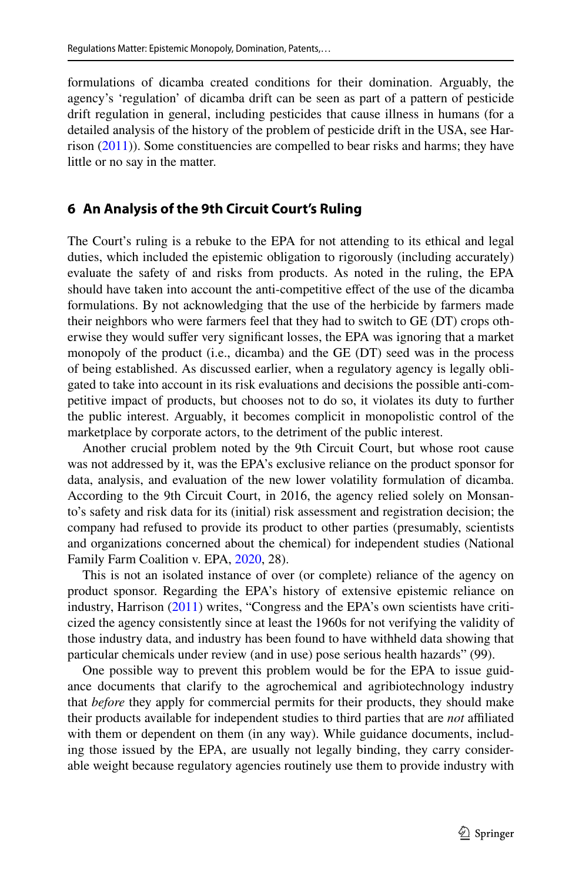formulations of dicamba created conditions for their domination. Arguably, the agency's 'regulation' of dicamba drift can be seen as part of a pattern of pesticide drift regulation in general, including pesticides that cause illness in humans (for a detailed analysis of the history of the problem of pesticide drift in the USA, see Harrison  $(2011)$  $(2011)$ ). Some constituencies are compelled to bear risks and harms; they have little or no say in the matter.

## **6 An Analysis of the 9th Circuit Court's Ruling**

The Court's ruling is a rebuke to the EPA for not attending to its ethical and legal duties, which included the epistemic obligation to rigorously (including accurately) evaluate the safety of and risks from products. As noted in the ruling, the EPA should have taken into account the anti-competitive efect of the use of the dicamba formulations. By not acknowledging that the use of the herbicide by farmers made their neighbors who were farmers feel that they had to switch to GE (DT) crops otherwise they would sufer very signifcant losses, the EPA was ignoring that a market monopoly of the product (i.e., dicamba) and the GE (DT) seed was in the process of being established. As discussed earlier, when a regulatory agency is legally obligated to take into account in its risk evaluations and decisions the possible anti-competitive impact of products, but chooses not to do so, it violates its duty to further the public interest. Arguably, it becomes complicit in monopolistic control of the marketplace by corporate actors, to the detriment of the public interest.

Another crucial problem noted by the 9th Circuit Court, but whose root cause was not addressed by it, was the EPA's exclusive reliance on the product sponsor for data, analysis, and evaluation of the new lower volatility formulation of dicamba. According to the 9th Circuit Court, in 2016, the agency relied solely on Monsanto's safety and risk data for its (initial) risk assessment and registration decision; the company had refused to provide its product to other parties (presumably, scientists and organizations concerned about the chemical) for independent studies (National Family Farm Coalition v. EPA, [2020,](#page-25-0) 28).

This is not an isolated instance of over (or complete) reliance of the agency on product sponsor. Regarding the EPA's history of extensive epistemic reliance on industry, Harrison ([2011\)](#page-24-9) writes, "Congress and the EPA's own scientists have criticized the agency consistently since at least the 1960s for not verifying the validity of those industry data, and industry has been found to have withheld data showing that particular chemicals under review (and in use) pose serious health hazards" (99).

One possible way to prevent this problem would be for the EPA to issue guidance documents that clarify to the agrochemical and agribiotechnology industry that *before* they apply for commercial permits for their products, they should make their products available for independent studies to third parties that are *not* afliated with them or dependent on them (in any way). While guidance documents, including those issued by the EPA, are usually not legally binding, they carry considerable weight because regulatory agencies routinely use them to provide industry with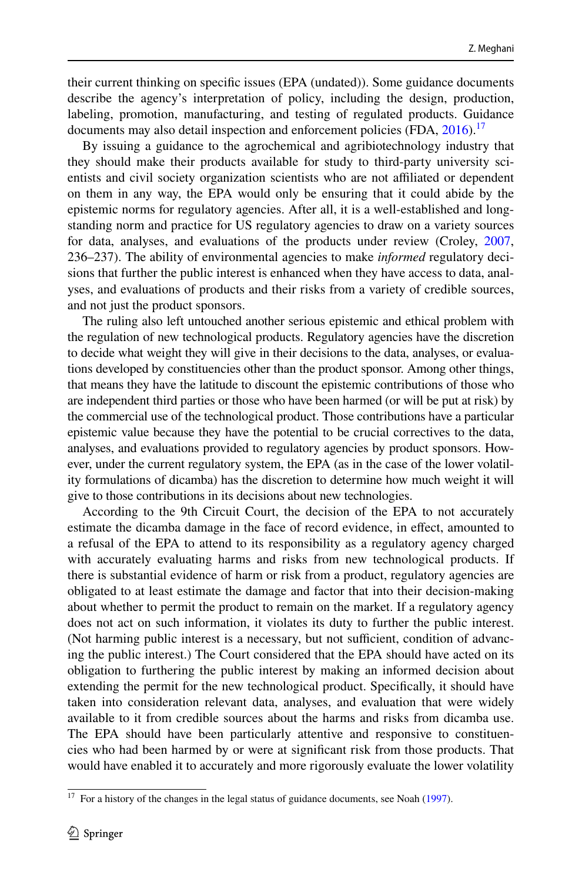their current thinking on specifc issues (EPA (undated)). Some guidance documents describe the agency's interpretation of policy, including the design, production, labeling, promotion, manufacturing, and testing of regulated products. Guidance documents may also detail inspection and enforcement policies (FDA,  $2016$ ).<sup>[17](#page-18-0)</sup>

By issuing a guidance to the agrochemical and agribiotechnology industry that they should make their products available for study to third-party university scientists and civil society organization scientists who are not afliated or dependent on them in any way, the EPA would only be ensuring that it could abide by the epistemic norms for regulatory agencies. After all, it is a well-established and longstanding norm and practice for US regulatory agencies to draw on a variety sources for data, analyses, and evaluations of the products under review (Croley, [2007,](#page-23-4) 236–237). The ability of environmental agencies to make *informed* regulatory decisions that further the public interest is enhanced when they have access to data, analyses, and evaluations of products and their risks from a variety of credible sources, and not just the product sponsors.

The ruling also left untouched another serious epistemic and ethical problem with the regulation of new technological products. Regulatory agencies have the discretion to decide what weight they will give in their decisions to the data, analyses, or evaluations developed by constituencies other than the product sponsor. Among other things, that means they have the latitude to discount the epistemic contributions of those who are independent third parties or those who have been harmed (or will be put at risk) by the commercial use of the technological product. Those contributions have a particular epistemic value because they have the potential to be crucial correctives to the data, analyses, and evaluations provided to regulatory agencies by product sponsors. However, under the current regulatory system, the EPA (as in the case of the lower volatility formulations of dicamba) has the discretion to determine how much weight it will give to those contributions in its decisions about new technologies.

According to the 9th Circuit Court, the decision of the EPA to not accurately estimate the dicamba damage in the face of record evidence, in efect, amounted to a refusal of the EPA to attend to its responsibility as a regulatory agency charged with accurately evaluating harms and risks from new technological products. If there is substantial evidence of harm or risk from a product, regulatory agencies are obligated to at least estimate the damage and factor that into their decision-making about whether to permit the product to remain on the market. If a regulatory agency does not act on such information, it violates its duty to further the public interest. (Not harming public interest is a necessary, but not sufficient, condition of advancing the public interest.) The Court considered that the EPA should have acted on its obligation to furthering the public interest by making an informed decision about extending the permit for the new technological product. Specifcally, it should have taken into consideration relevant data, analyses, and evaluation that were widely available to it from credible sources about the harms and risks from dicamba use. The EPA should have been particularly attentive and responsive to constituencies who had been harmed by or were at signifcant risk from those products. That would have enabled it to accurately and more rigorously evaluate the lower volatility

<span id="page-18-0"></span> $17$  For a history of the changes in the legal status of guidance documents, see Noah ([1997\)](#page-25-19).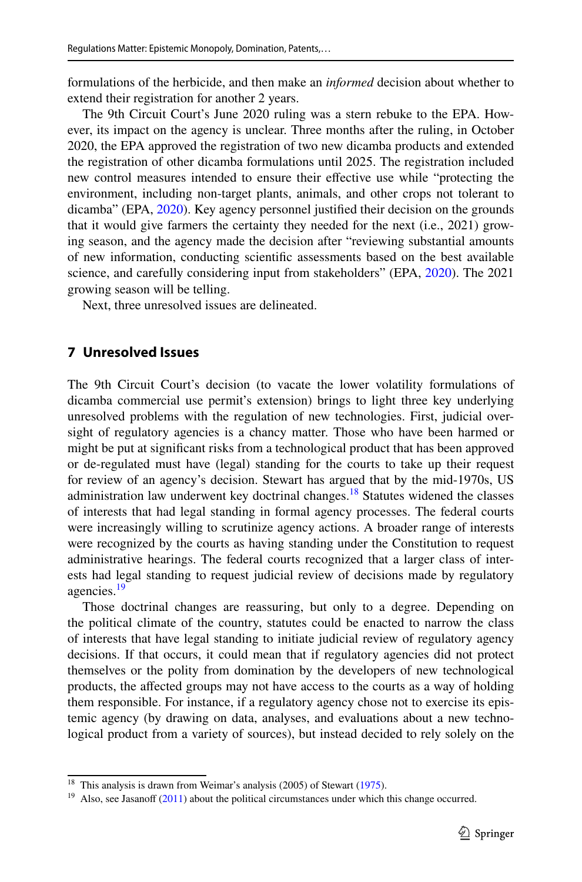formulations of the herbicide, and then make an *informed* decision about whether to extend their registration for another 2 years.

The 9th Circuit Court's June 2020 ruling was a stern rebuke to the EPA. However, its impact on the agency is unclear. Three months after the ruling, in October 2020, the EPA approved the registration of two new dicamba products and extended the registration of other dicamba formulations until 2025. The registration included new control measures intended to ensure their efective use while "protecting the environment, including non-target plants, animals, and other crops not tolerant to dicamba" (EPA, [2020](#page-25-0)). Key agency personnel justifed their decision on the grounds that it would give farmers the certainty they needed for the next (i.e., 2021) growing season, and the agency made the decision after "reviewing substantial amounts of new information, conducting scientifc assessments based on the best available science, and carefully considering input from stakeholders" (EPA, [2020](#page-25-0)). The 2021 growing season will be telling.

Next, three unresolved issues are delineated.

## **7 Unresolved Issues**

The 9th Circuit Court's decision (to vacate the lower volatility formulations of dicamba commercial use permit's extension) brings to light three key underlying unresolved problems with the regulation of new technologies. First, judicial oversight of regulatory agencies is a chancy matter. Those who have been harmed or might be put at signifcant risks from a technological product that has been approved or de-regulated must have (legal) standing for the courts to take up their request for review of an agency's decision. Stewart has argued that by the mid-1970s, US administration law underwent key doctrinal changes.<sup>18</sup> Statutes widened the classes of interests that had legal standing in formal agency processes. The federal courts were increasingly willing to scrutinize agency actions. A broader range of interests were recognized by the courts as having standing under the Constitution to request administrative hearings. The federal courts recognized that a larger class of interests had legal standing to request judicial review of decisions made by regulatory agencies.<sup>[19](#page-19-1)</sup>

Those doctrinal changes are reassuring, but only to a degree. Depending on the political climate of the country, statutes could be enacted to narrow the class of interests that have legal standing to initiate judicial review of regulatory agency decisions. If that occurs, it could mean that if regulatory agencies did not protect themselves or the polity from domination by the developers of new technological products, the afected groups may not have access to the courts as a way of holding them responsible. For instance, if a regulatory agency chose not to exercise its epistemic agency (by drawing on data, analyses, and evaluations about a new technological product from a variety of sources), but instead decided to rely solely on the

<span id="page-19-0"></span><sup>&</sup>lt;sup>18</sup> This analysis is drawn from Weimar's analysis (2005) of Stewart ([1975\)](#page-25-20).

<span id="page-19-1"></span> $19$  Also, see Jasanoff ([2011\)](#page-24-4) about the political circumstances under which this change occurred.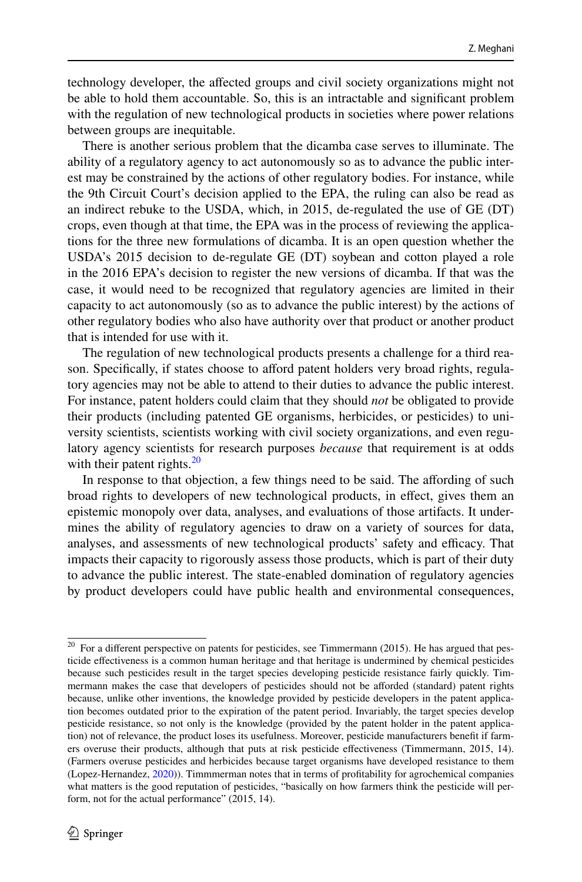technology developer, the afected groups and civil society organizations might not be able to hold them accountable. So, this is an intractable and signifcant problem with the regulation of new technological products in societies where power relations between groups are inequitable.

There is another serious problem that the dicamba case serves to illuminate. The ability of a regulatory agency to act autonomously so as to advance the public interest may be constrained by the actions of other regulatory bodies. For instance, while the 9th Circuit Court's decision applied to the EPA, the ruling can also be read as an indirect rebuke to the USDA, which, in 2015, de-regulated the use of GE (DT) crops, even though at that time, the EPA was in the process of reviewing the applications for the three new formulations of dicamba. It is an open question whether the USDA's 2015 decision to de-regulate GE (DT) soybean and cotton played a role in the 2016 EPA's decision to register the new versions of dicamba. If that was the case, it would need to be recognized that regulatory agencies are limited in their capacity to act autonomously (so as to advance the public interest) by the actions of other regulatory bodies who also have authority over that product or another product that is intended for use with it.

The regulation of new technological products presents a challenge for a third reason. Specifcally, if states choose to aford patent holders very broad rights, regulatory agencies may not be able to attend to their duties to advance the public interest. For instance, patent holders could claim that they should *not* be obligated to provide their products (including patented GE organisms, herbicides, or pesticides) to university scientists, scientists working with civil society organizations, and even regulatory agency scientists for research purposes *because* that requirement is at odds with their patent rights. $20$ 

In response to that objection, a few things need to be said. The afording of such broad rights to developers of new technological products, in efect, gives them an epistemic monopoly over data, analyses, and evaluations of those artifacts. It undermines the ability of regulatory agencies to draw on a variety of sources for data, analyses, and assessments of new technological products' safety and efficacy. That impacts their capacity to rigorously assess those products, which is part of their duty to advance the public interest. The state-enabled domination of regulatory agencies by product developers could have public health and environmental consequences,

<span id="page-20-0"></span><sup>&</sup>lt;sup>20</sup> For a different perspective on patents for pesticides, see Timmermann (2015). He has argued that pesticide efectiveness is a common human heritage and that heritage is undermined by chemical pesticides because such pesticides result in the target species developing pesticide resistance fairly quickly. Timmermann makes the case that developers of pesticides should not be aforded (standard) patent rights because, unlike other inventions, the knowledge provided by pesticide developers in the patent application becomes outdated prior to the expiration of the patent period. Invariably, the target species develop pesticide resistance, so not only is the knowledge (provided by the patent holder in the patent application) not of relevance, the product loses its usefulness. Moreover, pesticide manufacturers benefit if farmers overuse their products, although that puts at risk pesticide efectiveness (Timmermann, 2015, 14). (Farmers overuse pesticides and herbicides because target organisms have developed resistance to them (Lopez-Hernandez, [2020](#page-24-22))). Timmmerman notes that in terms of proftability for agrochemical companies what matters is the good reputation of pesticides, "basically on how farmers think the pesticide will perform, not for the actual performance" (2015, 14).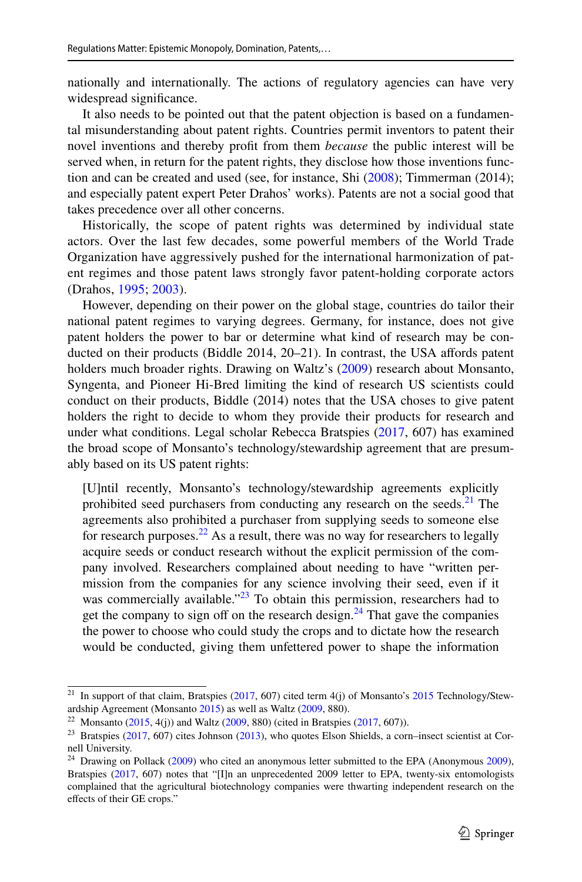nationally and internationally. The actions of regulatory agencies can have very widespread signifcance.

It also needs to be pointed out that the patent objection is based on a fundamental misunderstanding about patent rights. Countries permit inventors to patent their novel inventions and thereby proft from them *because* the public interest will be served when, in return for the patent rights, they disclose how those inventions function and can be created and used (see, for instance, Shi ([2008\)](#page-25-21); Timmerman (2014); and especially patent expert Peter Drahos' works). Patents are not a social good that takes precedence over all other concerns.

Historically, the scope of patent rights was determined by individual state actors. Over the last few decades, some powerful members of the World Trade Organization have aggressively pushed for the international harmonization of patent regimes and those patent laws strongly favor patent-holding corporate actors (Drahos, [1995;](#page-24-23) [2003](#page-24-24)).

However, depending on their power on the global stage, countries do tailor their national patent regimes to varying degrees. Germany, for instance, does not give patent holders the power to bar or determine what kind of research may be conducted on their products (Biddle 2014, 20–21). In contrast, the USA affords patent holders much broader rights. Drawing on Waltz's ([2009\)](#page-26-6) research about Monsanto, Syngenta, and Pioneer Hi-Bred limiting the kind of research US scientists could conduct on their products, Biddle (2014) notes that the USA choses to give patent holders the right to decide to whom they provide their products for research and under what conditions. Legal scholar Rebecca Bratspies ([2017,](#page-23-6) 607) has examined the broad scope of Monsanto's technology/stewardship agreement that are presumably based on its US patent rights:

[U]ntil recently, Monsanto's technology/stewardship agreements explicitly prohibited seed purchasers from conducting any research on the seeds. $21$  The agreements also prohibited a purchaser from supplying seeds to someone else for research purposes.<sup>22</sup> As a result, there was no way for researchers to legally acquire seeds or conduct research without the explicit permission of the company involved. Researchers complained about needing to have "written permission from the companies for any science involving their seed, even if it was commercially available." $^{23}$  To obtain this permission, researchers had to get the company to sign off on the research design. $^{24}$  $^{24}$  $^{24}$  That gave the companies the power to choose who could study the crops and to dictate how the research would be conducted, giving them unfettered power to shape the information

<span id="page-21-0"></span><sup>&</sup>lt;sup>21</sup> In support of that claim, Bratspies ( $2017$ , 607) cited term 4(j) of Monsanto's  $2015$  Technology/Stewardship Agreement (Monsanto [2015\)](#page-25-23) as well as Waltz ([2009,](#page-26-6) 880).

<span id="page-21-1"></span><sup>&</sup>lt;sup>22</sup> Monsanto [\(2015](#page-25-23), 4(j)) and Waltz [\(2009](#page-26-6), 880) (cited in Bratspies ([2017,](#page-23-6) 607)).

<span id="page-21-2"></span> $23$  Bratspies [\(2017](#page-23-6), 607) cites Johnson [\(2013](#page-24-25)), who quotes Elson Shields, a corn–insect scientist at Cornell University.

<span id="page-21-3"></span> $24$  Drawing on Pollack ([2009\)](#page-23-9) who cited an anonymous letter submitted to the EPA (Anonymous 2009), Bratspies ([2017,](#page-23-6) 607) notes that "[I]n an unprecedented 2009 letter to EPA, twenty-six entomologists complained that the agricultural biotechnology companies were thwarting independent research on the efects of their GE crops."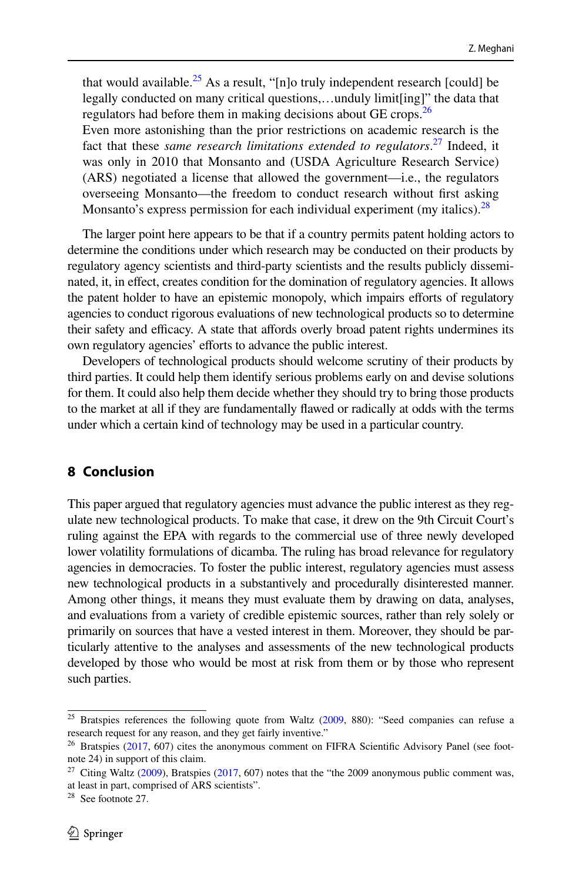that would available.<sup>25</sup> As a result, "[n]o truly independent research [could] be legally conducted on many critical questions,…unduly limit[ing]" the data that regulators had before them in making decisions about GE crops.<sup>26</sup>

Even more astonishing than the prior restrictions on academic research is the fact that these *same research limitations extended to regulators*. [27](#page-22-2) Indeed, it was only in 2010 that Monsanto and (USDA Agriculture Research Service) (ARS) negotiated a license that allowed the government—i.e., the regulators overseeing Monsanto—the freedom to conduct research without frst asking Monsanto's express permission for each individual experiment (my italics).<sup>[28](#page-22-3)</sup>

The larger point here appears to be that if a country permits patent holding actors to determine the conditions under which research may be conducted on their products by regulatory agency scientists and third-party scientists and the results publicly disseminated, it, in efect, creates condition for the domination of regulatory agencies. It allows the patent holder to have an epistemic monopoly, which impairs efforts of regulatory agencies to conduct rigorous evaluations of new technological products so to determine their safety and efficacy. A state that affords overly broad patent rights undermines its own regulatory agencies' efforts to advance the public interest.

Developers of technological products should welcome scrutiny of their products by third parties. It could help them identify serious problems early on and devise solutions for them. It could also help them decide whether they should try to bring those products to the market at all if they are fundamentally fawed or radically at odds with the terms under which a certain kind of technology may be used in a particular country.

## **8 Conclusion**

This paper argued that regulatory agencies must advance the public interest as they regulate new technological products. To make that case, it drew on the 9th Circuit Court's ruling against the EPA with regards to the commercial use of three newly developed lower volatility formulations of dicamba. The ruling has broad relevance for regulatory agencies in democracies. To foster the public interest, regulatory agencies must assess new technological products in a substantively and procedurally disinterested manner. Among other things, it means they must evaluate them by drawing on data, analyses, and evaluations from a variety of credible epistemic sources, rather than rely solely or primarily on sources that have a vested interest in them. Moreover, they should be particularly attentive to the analyses and assessments of the new technological products developed by those who would be most at risk from them or by those who represent such parties.

<span id="page-22-0"></span> $25$  Bratspies references the following quote from Waltz ([2009,](#page-26-6) 880): "Seed companies can refuse a research request for any reason, and they get fairly inventive."

<span id="page-22-1"></span><sup>&</sup>lt;sup>26</sup> Bratspies ([2017,](#page-23-6) 607) cites the anonymous comment on FIFRA Scientific Advisory Panel (see footnote 24) in support of this claim.

<span id="page-22-2"></span><sup>&</sup>lt;sup>27</sup> Citing Waltz [\(2009](#page-26-6)), Bratspies [\(2017](#page-23-6), 607) notes that the "the 2009 anonymous public comment was, at least in part, comprised of ARS scientists".

<span id="page-22-3"></span><sup>28</sup> See footnote 27.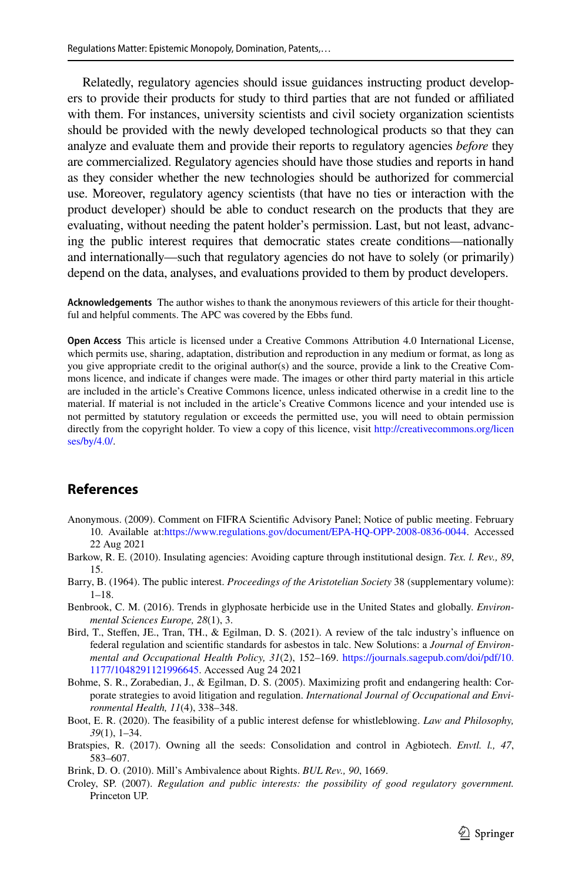Relatedly, regulatory agencies should issue guidances instructing product developers to provide their products for study to third parties that are not funded or afliated with them. For instances, university scientists and civil society organization scientists should be provided with the newly developed technological products so that they can analyze and evaluate them and provide their reports to regulatory agencies *before* they are commercialized. Regulatory agencies should have those studies and reports in hand as they consider whether the new technologies should be authorized for commercial use. Moreover, regulatory agency scientists (that have no ties or interaction with the product developer) should be able to conduct research on the products that they are evaluating, without needing the patent holder's permission. Last, but not least, advancing the public interest requires that democratic states create conditions—nationally and internationally—such that regulatory agencies do not have to solely (or primarily) depend on the data, analyses, and evaluations provided to them by product developers.

**Acknowledgements** The author wishes to thank the anonymous reviewers of this article for their thoughtful and helpful comments. The APC was covered by the Ebbs fund.

**Open Access** This article is licensed under a Creative Commons Attribution 4.0 International License, which permits use, sharing, adaptation, distribution and reproduction in any medium or format, as long as you give appropriate credit to the original author(s) and the source, provide a link to the Creative Commons licence, and indicate if changes were made. The images or other third party material in this article are included in the article's Creative Commons licence, unless indicated otherwise in a credit line to the material. If material is not included in the article's Creative Commons licence and your intended use is not permitted by statutory regulation or exceeds the permitted use, you will need to obtain permission directly from the copyright holder. To view a copy of this licence, visit [http://creativecommons.org/licen](http://creativecommons.org/licenses/by/4.0/) [ses/by/4.0/](http://creativecommons.org/licenses/by/4.0/).

#### **References**

- <span id="page-23-9"></span>Anonymous. (2009). Comment on FIFRA Scientifc Advisory Panel; Notice of public meeting. February 10. Available at[:https://www.regulations.gov/document/EPA-HQ-OPP-2008-0836-0044](https://www.regulations.gov/document/EPA-HQ-OPP-2008-0836-0044). Accessed 22 Aug 2021
- <span id="page-23-3"></span>Barkow, R. E. (2010). Insulating agencies: Avoiding capture through institutional design. *Tex. l. Rev., 89*, 15.
- <span id="page-23-1"></span>Barry, B. (1964). The public interest. *Proceedings of the Aristotelian Society* 38 (supplementary volume): 1–18.
- <span id="page-23-0"></span>Benbrook, C. M. (2016). Trends in glyphosate herbicide use in the United States and globally. *Environmental Sciences Europe, 28*(1), 3.
- <span id="page-23-7"></span>Bird, T., Stefen, JE., Tran, TH., & Egilman, D. S. (2021). A review of the talc industry's infuence on federal regulation and scientifc standards for asbestos in talc. New Solutions: a *Journal of Environmental and Occupational Health Policy, 31*(2), 152–169. [https://journals.sagepub.com/doi/pdf/10.](https://journals.sagepub.com/doi/pdf/10.1177/1048291121996645) [1177/1048291121996645](https://journals.sagepub.com/doi/pdf/10.1177/1048291121996645). Accessed Aug 24 2021
- <span id="page-23-8"></span>Bohme, S. R., Zorabedian, J., & Egilman, D. S. (2005). Maximizing proft and endangering health: Corporate strategies to avoid litigation and regulation. *International Journal of Occupational and Environmental Health, 11*(4), 338–348.
- <span id="page-23-2"></span>Boot, E. R. (2020). The feasibility of a public interest defense for whistleblowing. *Law and Philosophy, 39*(1), 1–34.
- <span id="page-23-6"></span>Bratspies, R. (2017). Owning all the seeds: Consolidation and control in Agbiotech. *Envtl. l., 47*, 583–607.
- <span id="page-23-5"></span>Brink, D. O. (2010). Mill's Ambivalence about Rights. *BUL Rev., 90*, 1669.
- <span id="page-23-4"></span>Croley, SP. (2007). *Regulation and public interests: the possibility of good regulatory government.* Princeton UP.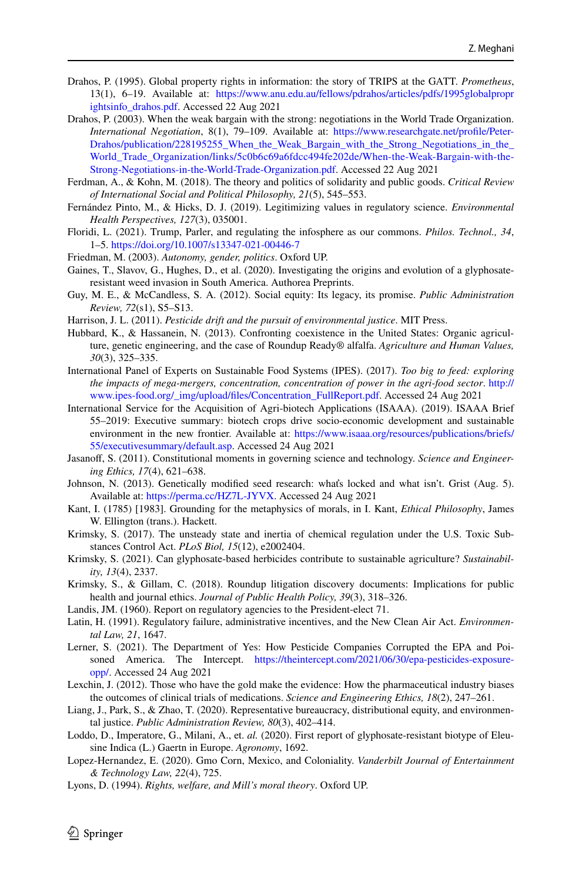- <span id="page-24-23"></span>Drahos, P. (1995). Global property rights in information: the story of TRIPS at the GATT. *Prometheus*, 13(1), 6–19. Available at: [https://www.anu.edu.au/fellows/pdrahos/articles/pdfs/1995globalpropr](https://www.anu.edu.au/fellows/pdrahos/articles/pdfs/1995globalproprightsinfo_drahos.pdf) [ightsinfo\\_drahos.pdf](https://www.anu.edu.au/fellows/pdrahos/articles/pdfs/1995globalproprightsinfo_drahos.pdf). Accessed 22 Aug 2021
- <span id="page-24-24"></span>Drahos, P. (2003). When the weak bargain with the strong: negotiations in the World Trade Organization. *International Negotiation*, 8(1), 79–109. Available at: [https://www.researchgate.net/profle/Peter-](https://www.researchgate.net/profile/Peter-Drahos/publication/228195255_When_the_Weak_Bargain_with_the_Strong_Negotiations_in_the_World_Trade_Organization/links/5c0b6c69a6fdcc494fe202de/When-the-Weak-Bargain-with-the-Strong-Negotiations-in-the-World-Trade-Organization.pdf)[Drahos/publication/228195255\\_When\\_the\\_Weak\\_Bargain\\_with\\_the\\_Strong\\_Negotiations\\_in\\_the\\_](https://www.researchgate.net/profile/Peter-Drahos/publication/228195255_When_the_Weak_Bargain_with_the_Strong_Negotiations_in_the_World_Trade_Organization/links/5c0b6c69a6fdcc494fe202de/When-the-Weak-Bargain-with-the-Strong-Negotiations-in-the-World-Trade-Organization.pdf) [World\\_Trade\\_Organization/links/5c0b6c69a6fdcc494fe202de/When-the-Weak-Bargain-with-the-](https://www.researchgate.net/profile/Peter-Drahos/publication/228195255_When_the_Weak_Bargain_with_the_Strong_Negotiations_in_the_World_Trade_Organization/links/5c0b6c69a6fdcc494fe202de/When-the-Weak-Bargain-with-the-Strong-Negotiations-in-the-World-Trade-Organization.pdf)[Strong-Negotiations-in-the-World-Trade-Organization.pdf.](https://www.researchgate.net/profile/Peter-Drahos/publication/228195255_When_the_Weak_Bargain_with_the_Strong_Negotiations_in_the_World_Trade_Organization/links/5c0b6c69a6fdcc494fe202de/When-the-Weak-Bargain-with-the-Strong-Negotiations-in-the-World-Trade-Organization.pdf) Accessed 22 Aug 2021
- <span id="page-24-10"></span>Ferdman, A., & Kohn, M. (2018). The theory and politics of solidarity and public goods. *Critical Review of International Social and Political Philosophy, 21*(5), 545–553.
- <span id="page-24-20"></span>Fernández Pinto, M., & Hicks, D. J. (2019). Legitimizing values in regulatory science. *Environmental Health Perspectives, 127*(3), 035001.
- <span id="page-24-5"></span>Floridi, L. (2021). Trump, Parler, and regulating the infosphere as our commons. *Philos. Technol., 34*, 1–5.<https://doi.org/10.1007/s13347-021-00446-7>
- <span id="page-24-7"></span>Friedman, M. (2003). *Autonomy, gender, politics*. Oxford UP.
- <span id="page-24-2"></span>Gaines, T., Slavov, G., Hughes, D., et al. (2020). Investigating the origins and evolution of a glyphosateresistant weed invasion in South America. Authorea Preprints.
- <span id="page-24-13"></span>Guy, M. E., & McCandless, S. A. (2012). Social equity: Its legacy, its promise. *Public Administration Review, 72*(s1), S5–S13.
- <span id="page-24-9"></span>Harrison, J. L. (2011). *Pesticide drift and the pursuit of environmental justice*. MIT Press.
- <span id="page-24-21"></span>Hubbard, K., & Hassanein, N. (2013). Confronting coexistence in the United States: Organic agriculture, genetic engineering, and the case of Roundup Ready® alfalfa. *Agriculture and Human Values, 30*(3), 325–335.
- <span id="page-24-14"></span>International Panel of Experts on Sustainable Food Systems (IPES). (2017). *Too big to feed: exploring the impacts of mega-mergers, concentration, concentration of power in the agri-food sector*. [http://](http://www.ipes-food.org/_img/upload/files/Concentration_FullReport.pdf) [www.ipes-food.org/\\_img/upload/fles/Concentration\\_FullReport.pdf](http://www.ipes-food.org/_img/upload/files/Concentration_FullReport.pdf). Accessed 24 Aug 2021
- <span id="page-24-3"></span>International Service for the Acquisition of Agri-biotech Applications (ISAAA). (2019). ISAAA Brief 55–2019: Executive summary: biotech crops drive socio-economic development and sustainable environment in the new frontier. Available at: [https://www.isaaa.org/resources/publications/briefs/](https://www.isaaa.org/resources/publications/briefs/55/executivesummary/default.asp) [55/executivesummary/default.asp](https://www.isaaa.org/resources/publications/briefs/55/executivesummary/default.asp). Accessed 24 Aug 2021
- <span id="page-24-4"></span>Jasanof, S. (2011). Constitutional moments in governing science and technology. *Science and Engineering Ethics, 17*(4), 621–638.
- <span id="page-24-25"></span>Johnson, N. (2013). Genetically modifed seed research: whaťs locked and what isn't. Grist (Aug. 5). Available at: [https://perma.cc/HZ7L-JYVX.](https://perma.cc/HZ7L-JYVX) Accessed 24 Aug 2021
- <span id="page-24-6"></span>Kant, I. (1785) [1983]. Grounding for the metaphysics of morals, in I. Kant, *Ethical Philosophy*, James W. Ellington (trans.). Hackett.
- <span id="page-24-8"></span>Krimsky, S. (2017). The unsteady state and inertia of chemical regulation under the U.S. Toxic Substances Control Act. *PLoS Biol, 15*(12), e2002404.
- <span id="page-24-0"></span>Krimsky, S. (2021). Can glyphosate-based herbicides contribute to sustainable agriculture? *Sustainability, 13*(4), 2337.
- <span id="page-24-18"></span>Krimsky, S., & Gillam, C. (2018). Roundup litigation discovery documents: Implications for public health and journal ethics. *Journal of Public Health Policy, 39*(3), 318–326.
- <span id="page-24-15"></span>Landis, JM. (1960). Report on regulatory agencies to the President-elect 71.
- <span id="page-24-16"></span>Latin, H. (1991). Regulatory failure, administrative incentives, and the New Clean Air Act. *Environmental Law, 21*, 1647.
- <span id="page-24-17"></span>Lerner, S. (2021). The Department of Yes: How Pesticide Companies Corrupted the EPA and Poisoned America. The Intercept. [https://theintercept.com/2021/06/30/epa-pesticides-exposure](https://theintercept.com/2021/06/30/epa-pesticides-exposure-opp/)[opp/](https://theintercept.com/2021/06/30/epa-pesticides-exposure-opp/). Accessed 24 Aug 2021
- <span id="page-24-19"></span>Lexchin, J. (2012). Those who have the gold make the evidence: How the pharmaceutical industry biases the outcomes of clinical trials of medications. *Science and Engineering Ethics, 18*(2), 247–261.
- <span id="page-24-12"></span>Liang, J., Park, S., & Zhao, T. (2020). Representative bureaucracy, distributional equity, and environmental justice. *Public Administration Review, 80*(3), 402–414.
- <span id="page-24-1"></span>Loddo, D., Imperatore, G., Milani, A., et. *al.* (2020). First report of glyphosate-resistant biotype of Eleusine Indica (L.) Gaertn in Europe. *Agronomy*, 1692.
- <span id="page-24-22"></span>Lopez-Hernandez, E. (2020). Gmo Corn, Mexico, and Coloniality. *Vanderbilt Journal of Entertainment & Technology Law, 22*(4), 725.
- <span id="page-24-11"></span>Lyons, D. (1994). *Rights, welfare, and Mill's moral theory*. Oxford UP.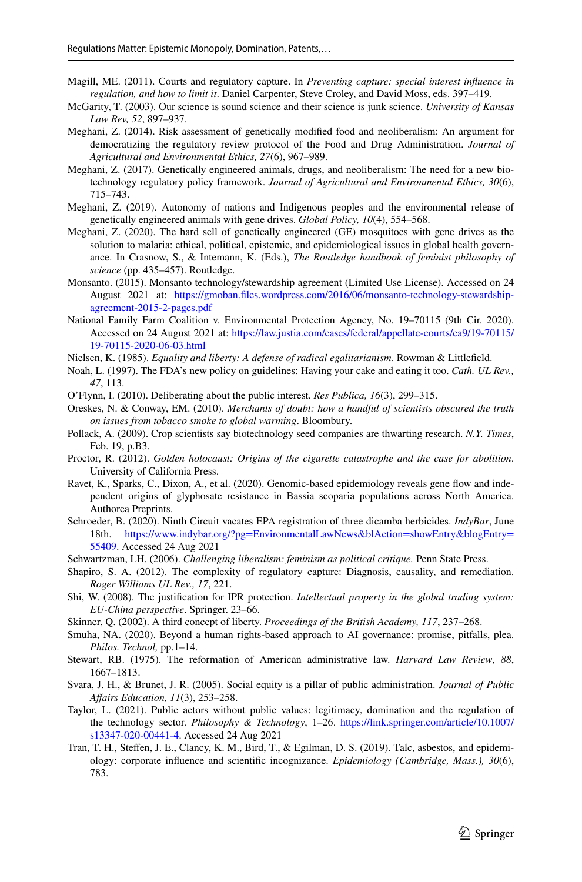- <span id="page-25-9"></span>Magill, ME. (2011). Courts and regulatory capture. In *Preventing capture: special interest infuence in regulation, and how to limit it*. Daniel Carpenter, Steve Croley, and David Moss, eds. 397–419.
- <span id="page-25-16"></span>McGarity, T. (2003). Our science is sound science and their science is junk science. *University of Kansas Law Rev, 52*, 897–937.
- <span id="page-25-3"></span>Meghani, Z. (2014). Risk assessment of genetically modifed food and neoliberalism: An argument for democratizing the regulatory review protocol of the Food and Drug Administration. *Journal of Agricultural and Environmental Ethics, 27*(6), 967–989.
- <span id="page-25-4"></span>Meghani, Z. (2017). Genetically engineered animals, drugs, and neoliberalism: The need for a new biotechnology regulatory policy framework. *Journal of Agricultural and Environmental Ethics, 30*(6), 715–743.
- <span id="page-25-5"></span>Meghani, Z. (2019). Autonomy of nations and Indigenous peoples and the environmental release of genetically engineered animals with gene drives. *Global Policy, 10*(4), 554–568.
- <span id="page-25-15"></span>Meghani, Z. (2020). The hard sell of genetically engineered (GE) mosquitoes with gene drives as the solution to malaria: ethical, political, epistemic, and epidemiological issues in global health governance. In Crasnow, S., & Intemann, K. (Eds.), *The Routledge handbook of feminist philosophy of science* (pp. 435–457). Routledge.
- <span id="page-25-23"></span>Monsanto. (2015). Monsanto technology/stewardship agreement (Limited Use License). Accessed on 24 August 2021 at: [https://gmoban.fles.wordpress.com/2016/06/monsanto-technology-stewardship](https://gmoban.files.wordpress.com/2016/06/monsanto-technology-stewardship-agreement-2015-2-pages.pdf)[agreement-2015-2-pages.pdf](https://gmoban.files.wordpress.com/2016/06/monsanto-technology-stewardship-agreement-2015-2-pages.pdf)
- <span id="page-25-0"></span>National Family Farm Coalition v. Environmental Protection Agency, No. 19–70115 (9th Cir. 2020). Accessed on 24 August 2021 at: [https://law.justia.com/cases/federal/appellate-courts/ca9/19-70115/](https://law.justia.com/cases/federal/appellate-courts/ca9/19-70115/19-70115-2020-06-03.html) [19-70115-2020-06-03.html](https://law.justia.com/cases/federal/appellate-courts/ca9/19-70115/19-70115-2020-06-03.html)
- <span id="page-25-10"></span>Nielsen, K. (1985). *Equality and liberty: A defense of radical egalitarianism*. Rowman & Littlefeld.
- <span id="page-25-19"></span>Noah, L. (1997). The FDA's new policy on guidelines: Having your cake and eating it too. *Cath. UL Rev., 47*, 113.
- <span id="page-25-2"></span>O'Flynn, I. (2010). Deliberating about the public interest. *Res Publica, 16*(3), 299–315.
- <span id="page-25-17"></span>Oreskes, N. & Conway, EM. (2010). *Merchants of doubt: how a handful of scientists obscured the truth on issues from tobacco smoke to global warming*. Bloombury.
- <span id="page-25-22"></span>Pollack, A. (2009). Crop scientists say biotechnology seed companies are thwarting research. *N.Y. Times*, Feb. 19, p.B3.
- Proctor, R. (2012). *Golden holocaust: Origins of the cigarette catastrophe and the case for abolition*. University of California Press.
- <span id="page-25-1"></span>Ravet, K., Sparks, C., Dixon, A., et al. (2020). Genomic-based epidemiology reveals gene fow and independent origins of glyphosate resistance in Bassia scoparia populations across North America. Authorea Preprints.
- <span id="page-25-18"></span>Schroeder, B. (2020). Ninth Circuit vacates EPA registration of three dicamba herbicides. *IndyBar*, June 18th. [https://www.indybar.org/?pg=EnvironmentalLawNews&blAction=showEntry&blogEntry=](https://www.indybar.org/?pg=EnvironmentalLawNews&blAction=showEntry&blogEntry=55409) [55409](https://www.indybar.org/?pg=EnvironmentalLawNews&blAction=showEntry&blogEntry=55409). Accessed 24 Aug 2021
- <span id="page-25-11"></span>Schwartzman, LH. (2006). *Challenging liberalism: feminism as political critique.* Penn State Press.
- <span id="page-25-8"></span>Shapiro, S. A. (2012). The complexity of regulatory capture: Diagnosis, causality, and remediation. *Roger Williams UL Rev., 17*, 221.
- <span id="page-25-21"></span>Shi, W. (2008). The justifcation for IPR protection. *Intellectual property in the global trading system: EU-China perspective*. Springer. 23–66.
- <span id="page-25-12"></span>Skinner, Q. (2002). A third concept of liberty. *Proceedings of the British Academy, 117*, 237–268.
- <span id="page-25-6"></span>Smuha, NA. (2020). Beyond a human rights-based approach to AI governance: promise, pitfalls, plea. *Philos. Technol,* pp.1–14.
- <span id="page-25-20"></span>Stewart, RB. (1975). The reformation of American administrative law. *Harvard Law Review*, *88*, 1667–1813.
- <span id="page-25-13"></span>Svara, J. H., & Brunet, J. R. (2005). Social equity is a pillar of public administration. *Journal of Public Afairs Education, 11*(3), 253–258.
- <span id="page-25-7"></span>Taylor, L. (2021). Public actors without public values: legitimacy, domination and the regulation of the technology sector. *Philosophy & Technology*, 1–26. [https://link.springer.com/article/10.1007/](https://link.springer.com/article/10.1007/s13347-020-00441-4) [s13347-020-00441-4](https://link.springer.com/article/10.1007/s13347-020-00441-4). Accessed 24 Aug 2021
- <span id="page-25-14"></span>Tran, T. H., Stefen, J. E., Clancy, K. M., Bird, T., & Egilman, D. S. (2019). Talc, asbestos, and epidemiology: corporate infuence and scientifc incognizance. *Epidemiology (Cambridge, Mass.), 30*(6), 783.